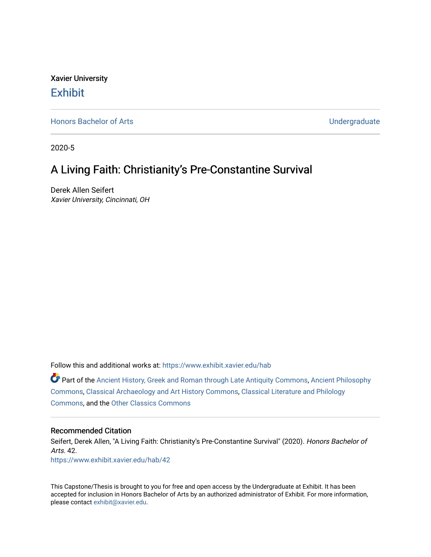Xavier University **Exhibit** 

[Honors Bachelor of Arts](https://www.exhibit.xavier.edu/hab) **No. 2018** 2019 12:30 No. 2019 12:30 No. 2019 12:30 No. 2019 12:30 No. 2019 12:30 No. 2019 12:30 No. 2019 12:30 No. 2019 12:30 No. 2019 12:30 No. 2019 12:30 No. 2019 12:30 No. 2019 12:30 No. 2019 12

2020-5

## A Living Faith: Christianity's Pre-Constantine Survival

Derek Allen Seifert Xavier University, Cincinnati, OH

Follow this and additional works at: [https://www.exhibit.xavier.edu/hab](https://www.exhibit.xavier.edu/hab?utm_source=www.exhibit.xavier.edu%2Fhab%2F42&utm_medium=PDF&utm_campaign=PDFCoverPages)

Part of the [Ancient History, Greek and Roman through Late Antiquity Commons](http://network.bepress.com/hgg/discipline/447?utm_source=www.exhibit.xavier.edu%2Fhab%2F42&utm_medium=PDF&utm_campaign=PDFCoverPages), [Ancient Philosophy](http://network.bepress.com/hgg/discipline/448?utm_source=www.exhibit.xavier.edu%2Fhab%2F42&utm_medium=PDF&utm_campaign=PDFCoverPages)  [Commons](http://network.bepress.com/hgg/discipline/448?utm_source=www.exhibit.xavier.edu%2Fhab%2F42&utm_medium=PDF&utm_campaign=PDFCoverPages), [Classical Archaeology and Art History Commons,](http://network.bepress.com/hgg/discipline/450?utm_source=www.exhibit.xavier.edu%2Fhab%2F42&utm_medium=PDF&utm_campaign=PDFCoverPages) [Classical Literature and Philology](http://network.bepress.com/hgg/discipline/451?utm_source=www.exhibit.xavier.edu%2Fhab%2F42&utm_medium=PDF&utm_campaign=PDFCoverPages) [Commons](http://network.bepress.com/hgg/discipline/451?utm_source=www.exhibit.xavier.edu%2Fhab%2F42&utm_medium=PDF&utm_campaign=PDFCoverPages), and the [Other Classics Commons](http://network.bepress.com/hgg/discipline/453?utm_source=www.exhibit.xavier.edu%2Fhab%2F42&utm_medium=PDF&utm_campaign=PDFCoverPages) 

#### Recommended Citation

Seifert, Derek Allen, "A Living Faith: Christianity's Pre-Constantine Survival" (2020). Honors Bachelor of Arts. 42. [https://www.exhibit.xavier.edu/hab/42](https://www.exhibit.xavier.edu/hab/42?utm_source=www.exhibit.xavier.edu%2Fhab%2F42&utm_medium=PDF&utm_campaign=PDFCoverPages) 

This Capstone/Thesis is brought to you for free and open access by the Undergraduate at Exhibit. It has been accepted for inclusion in Honors Bachelor of Arts by an authorized administrator of Exhibit. For more information, please contact [exhibit@xavier.edu.](mailto:exhibit@xavier.edu)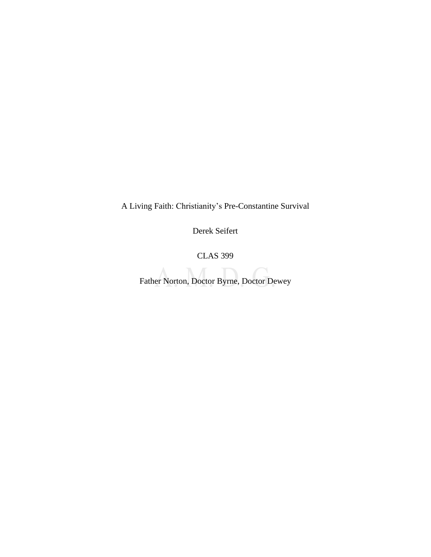A Living Faith: Christianity's Pre-Constantine Survival

Derek Seifert

CLAS 399

Father Norton, Doctor Byrne, Doctor Dewey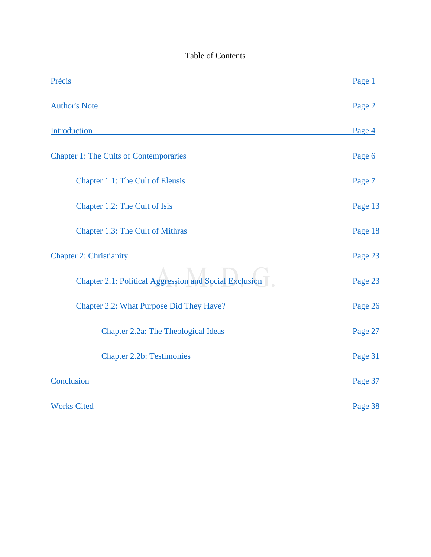### Table of Contents

| Précis<br><u> 1989 - Andrea Stadt Britain, amerikansk politik (* 1908)</u>                                                                                                                                                         | Page 1  |
|------------------------------------------------------------------------------------------------------------------------------------------------------------------------------------------------------------------------------------|---------|
| <b>Author's Note</b>                                                                                                                                                                                                               | Page 2  |
| Introduction that the contract of the contract of the contract of the contract of the contract of the contract of the contract of the contract of the contract of the contract of the contract of the contract of the contract     | Page 4  |
| <b>Chapter 1: The Cults of Contemporaries</b>                                                                                                                                                                                      | Page 6  |
| <b>Chapter 1.1: The Cult of Eleusis Chapter 1.1: The Cult of Eleusis</b>                                                                                                                                                           | Page 7  |
| Chapter 1.2: The Cult of Isis                                                                                                                                                                                                      | Page 13 |
| Chapter 1.3: The Cult of Mithras Chapter 1.3: The Cult of Mithras                                                                                                                                                                  | Page 18 |
| <b>Chapter 2: Christianity</b> and the state of the state of the state of the state of the state of the state of the state of the state of the state of the state of the state of the state of the state of the state of the state | Page 23 |
| <b>Chapter 2.1: Political Aggression and Social Exclusion</b>                                                                                                                                                                      | Page 23 |
| <b>Chapter 2.2: What Purpose Did They Have?</b>                                                                                                                                                                                    | Page 26 |
| Chapter 2.2a: The Theological Ideas                                                                                                                                                                                                | Page 27 |
| <b>Chapter 2.2b: Testimonies</b>                                                                                                                                                                                                   | Page 31 |
| <b>Conclusion Conclusion</b>                                                                                                                                                                                                       | Page 37 |
| <b>Works Cited</b>                                                                                                                                                                                                                 | Page 38 |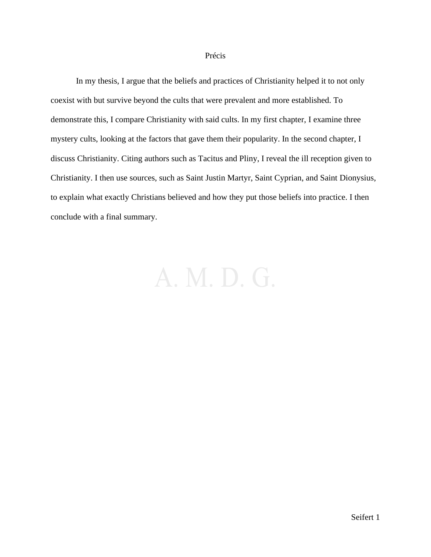#### Précis

<span id="page-3-0"></span>In my thesis, I argue that the beliefs and practices of Christianity helped it to not only coexist with but survive beyond the cults that were prevalent and more established. To demonstrate this, I compare Christianity with said cults. In my first chapter, I examine three mystery cults, looking at the factors that gave them their popularity. In the second chapter, I discuss Christianity. Citing authors such as Tacitus and Pliny, I reveal the ill reception given to Christianity. I then use sources, such as Saint Justin Martyr, Saint Cyprian, and Saint Dionysius, to explain what exactly Christians believed and how they put those beliefs into practice. I then conclude with a final summary.

## A. M. D. G.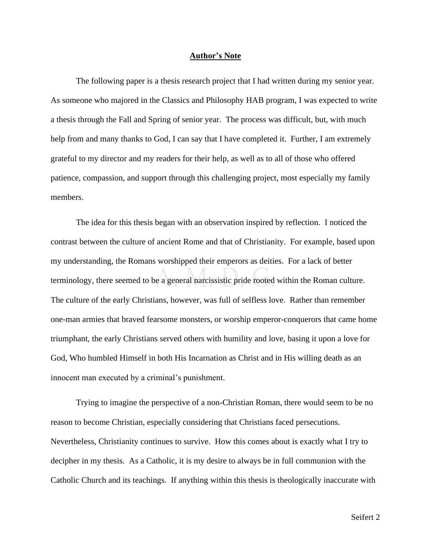#### **Author's Note**

<span id="page-4-0"></span>The following paper is a thesis research project that I had written during my senior year. As someone who majored in the Classics and Philosophy HAB program, I was expected to write a thesis through the Fall and Spring of senior year. The process was difficult, but, with much help from and many thanks to God, I can say that I have completed it. Further, I am extremely grateful to my director and my readers for their help, as well as to all of those who offered patience, compassion, and support through this challenging project, most especially my family members.

The idea for this thesis began with an observation inspired by reflection. I noticed the contrast between the culture of ancient Rome and that of Christianity. For example, based upon my understanding, the Romans worshipped their emperors as deities. For a lack of better terminology, there seemed to be a general narcissistic pride rooted within the Roman culture. The culture of the early Christians, however, was full of selfless love. Rather than remember one-man armies that braved fearsome monsters, or worship emperor-conquerors that came home triumphant, the early Christians served others with humility and love, basing it upon a love for God, Who humbled Himself in both His Incarnation as Christ and in His willing death as an innocent man executed by a criminal's punishment.

Trying to imagine the perspective of a non-Christian Roman, there would seem to be no reason to become Christian, especially considering that Christians faced persecutions. Nevertheless, Christianity continues to survive. How this comes about is exactly what I try to decipher in my thesis. As a Catholic, it is my desire to always be in full communion with the Catholic Church and its teachings. If anything within this thesis is theologically inaccurate with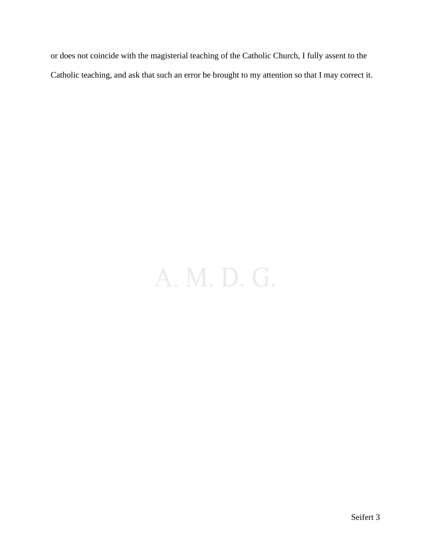or does not coincide with the magisterial teaching of the Catholic Church, I fully assent to the Catholic teaching, and ask that such an error be brought to my attention so that I may correct it.

# A. M. D. G.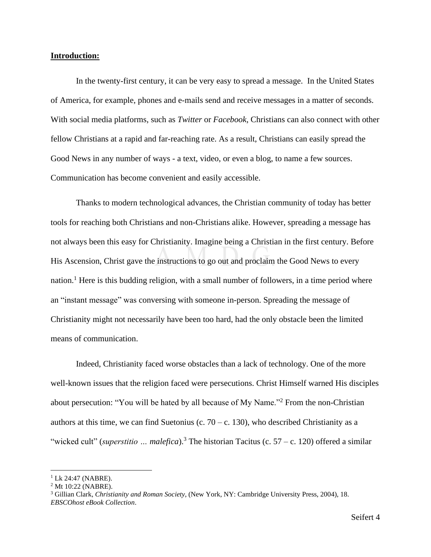#### <span id="page-6-0"></span>**Introduction:**

In the twenty-first century, it can be very easy to spread a message. In the United States of America, for example, phones and e-mails send and receive messages in a matter of seconds. With social media platforms, such as *Twitter* or *Facebook*, Christians can also connect with other fellow Christians at a rapid and far-reaching rate. As a result, Christians can easily spread the Good News in any number of ways - a text, video, or even a blog, to name a few sources. Communication has become convenient and easily accessible.

Thanks to modern technological advances, the Christian community of today has better tools for reaching both Christians and non-Christians alike. However, spreading a message has not always been this easy for Christianity. Imagine being a Christian in the first century. Before His Ascension, Christ gave the instructions to go out and proclaim the Good News to every nation.<sup>1</sup> Here is this budding religion, with a small number of followers, in a time period where an "instant message" was conversing with someone in-person. Spreading the message of Christianity might not necessarily have been too hard, had the only obstacle been the limited means of communication.

Indeed, Christianity faced worse obstacles than a lack of technology. One of the more well-known issues that the religion faced were persecutions. Christ Himself warned His disciples about persecution: "You will be hated by all because of My Name."<sup>2</sup> From the non-Christian authors at this time, we can find Suetonius (c.  $70 - c$ , 130), who described Christianity as a "wicked cult" (*superstitio … malefica*). <sup>3</sup> The historian Tacitus (c. 57 – c. 120) offered a similar

 $1$  Lk 24:47 (NABRE).

<sup>2</sup> Mt 10:22 (NABRE).

<sup>3</sup> Gillian Clark, *Christianity and Roman Society*, (New York, NY: Cambridge University Press, 2004), 18. *EBSCOhost eBook Collection*.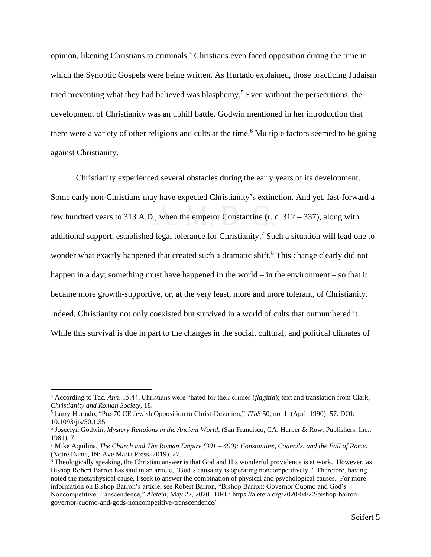opinion, likening Christians to criminals. <sup>4</sup> Christians even faced opposition during the time in which the Synoptic Gospels were being written. As Hurtado explained, those practicing Judaism tried preventing what they had believed was blasphemy.<sup>5</sup> Even without the persecutions, the development of Christianity was an uphill battle. Godwin mentioned in her introduction that there were a variety of other religions and cults at the time. <sup>6</sup> Multiple factors seemed to be going against Christianity.

Christianity experienced several obstacles during the early years of its development. Some early non-Christians may have expected Christianity's extinction. And yet, fast-forward a few hundred years to 313 A.D., when the emperor Constantine (r. c. 312 – 337), along with additional support, established legal tolerance for Christianity.<sup>7</sup> Such a situation will lead one to wonder what exactly happened that created such a dramatic shift.<sup>8</sup> This change clearly did not happen in a day; something must have happened in the world – in the environment – so that it became more growth-supportive, or, at the very least, more and more tolerant, of Christianity. Indeed, Christianity not only coexisted but survived in a world of cults that outnumbered it. While this survival is due in part to the changes in the social, cultural, and political climates of

<sup>4</sup> According to Tac. *Ann*. 15.44, Christians were "hated for their crimes (*flagitia*); text and translation from Clark, *Christianity and Roman Society*, 18.

<sup>5</sup> Larry Hurtado, "Pre-70 CE Jewish Opposition to Christ-Devotion," *JThS* 50, no. 1, (April 1990): 57. DOI: 10.1093/jts/50.1.35

<sup>&</sup>lt;sup>6</sup> Joscelyn Godwin, *Mystery Religions in the Ancient World*, (San Francisco, CA: Harper & Row, Publishers, Inc., 1981), 7.

<sup>7</sup> Mike Aquilina, *The Church and The Roman Empire (301 – 490): Constantine, Councils, and the Fall of Rome*, (Notre Dame, IN: Ave Maria Press, 2019), 27.

<sup>8</sup> Theologically speaking, the Christian answer is that God and His wonderful providence is at work. However, as Bishop Robert Barron has said in an article, "God's causality is operating noncompetitively." Therefore, having noted the metaphysical cause, I seek to answer the combination of physical and psychological causes. For more information on Bishop Barron's article, see Robert Barron, "Bishop Barron: Governor Cuomo and God's Noncompetitive Transcendence," *Aleteia*, May 22, 2020. URL: https://aleteia.org/2020/04/22/bishop-barrongovernor-cuomo-and-gods-noncompetitive-transcendence/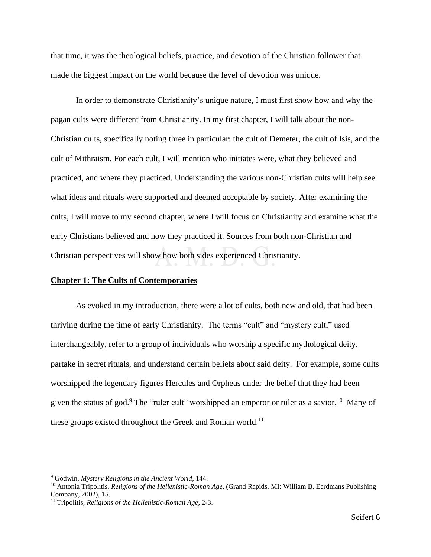that time, it was the theological beliefs, practice, and devotion of the Christian follower that made the biggest impact on the world because the level of devotion was unique.

In order to demonstrate Christianity's unique nature, I must first show how and why the pagan cults were different from Christianity. In my first chapter, I will talk about the non-Christian cults, specifically noting three in particular: the cult of Demeter, the cult of Isis, and the cult of Mithraism. For each cult, I will mention who initiates were, what they believed and practiced, and where they practiced. Understanding the various non-Christian cults will help see what ideas and rituals were supported and deemed acceptable by society. After examining the cults, I will move to my second chapter, where I will focus on Christianity and examine what the early Christians believed and how they practiced it. Sources from both non-Christian and Christian perspectives will show how both sides experienced Christianity.

#### <span id="page-8-0"></span>**Chapter 1: The Cults of Contemporaries**

As evoked in my introduction, there were a lot of cults, both new and old, that had been thriving during the time of early Christianity. The terms "cult" and "mystery cult," used interchangeably, refer to a group of individuals who worship a specific mythological deity, partake in secret rituals, and understand certain beliefs about said deity. For example, some cults worshipped the legendary figures Hercules and Orpheus under the belief that they had been given the status of god.<sup>9</sup> The "ruler cult" worshipped an emperor or ruler as a savior.<sup>10</sup> Many of these groups existed throughout the Greek and Roman world.<sup>11</sup>

<sup>9</sup> Godwin, *Mystery Religions in the Ancient World*, 144.

<sup>10</sup> Antonia Tripolitis, *Religions of the Hellenistic-Roman Age*, (Grand Rapids, MI: William B. Eerdmans Publishing Company, 2002), 15.

<sup>11</sup> Tripolitis, *Religions of the Hellenistic-Roman Age*, 2-3.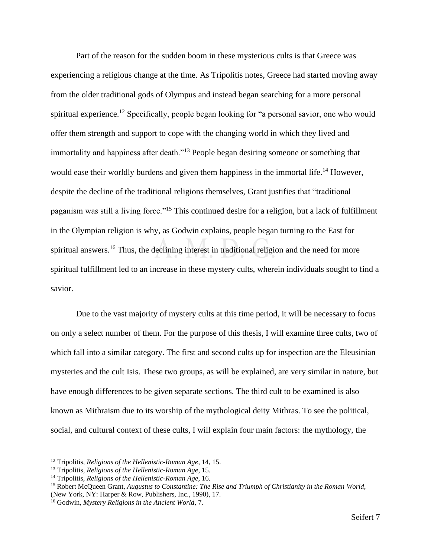Part of the reason for the sudden boom in these mysterious cults is that Greece was experiencing a religious change at the time. As Tripolitis notes, Greece had started moving away from the older traditional gods of Olympus and instead began searching for a more personal spiritual experience.<sup>12</sup> Specifically, people began looking for "a personal savior, one who would offer them strength and support to cope with the changing world in which they lived and immortality and happiness after death."<sup>13</sup> People began desiring someone or something that would ease their worldly burdens and given them happiness in the immortal life.<sup>14</sup> However, despite the decline of the traditional religions themselves, Grant justifies that "traditional paganism was still a living force."<sup>15</sup> This continued desire for a religion, but a lack of fulfillment in the Olympian religion is why, as Godwin explains, people began turning to the East for spiritual answers.<sup>16</sup> Thus, the declining interest in traditional religion and the need for more spiritual fulfillment led to an increase in these mystery cults, wherein individuals sought to find a savior.

Due to the vast majority of mystery cults at this time period, it will be necessary to focus on only a select number of them. For the purpose of this thesis, I will examine three cults, two of which fall into a similar category. The first and second cults up for inspection are the Eleusinian mysteries and the cult Isis. These two groups, as will be explained, are very similar in nature, but have enough differences to be given separate sections. The third cult to be examined is also known as Mithraism due to its worship of the mythological deity Mithras. To see the political, social, and cultural context of these cults, I will explain four main factors: the mythology, the

<sup>12</sup> Tripolitis, *Religions of the Hellenistic-Roman Age*, 14, 15.

<sup>13</sup> Tripolitis, *Religions of the Hellenistic-Roman Age*, 15.

<sup>14</sup> Tripolitis, *Religions of the Hellenistic-Roman Age*, 16.

<sup>&</sup>lt;sup>15</sup> Robert McQueen Grant, *Augustus to Constantine: The Rise and Triumph of Christianity in the Roman World*, (New York, NY: Harper & Row, Publishers, Inc., 1990), 17.

<sup>16</sup> Godwin, *Mystery Religions in the Ancient World*, 7.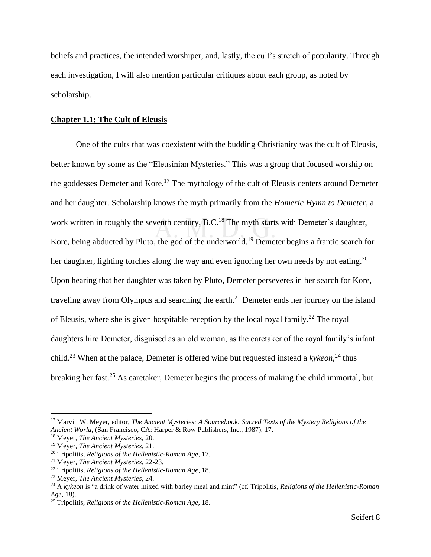beliefs and practices, the intended worshiper, and, lastly, the cult's stretch of popularity. Through each investigation, I will also mention particular critiques about each group, as noted by scholarship.

#### <span id="page-10-0"></span>**Chapter 1.1: The Cult of Eleusis**

One of the cults that was coexistent with the budding Christianity was the cult of Eleusis, better known by some as the "Eleusinian Mysteries." This was a group that focused worship on the goddesses Demeter and Kore.<sup>17</sup> The mythology of the cult of Eleusis centers around Demeter and her daughter. Scholarship knows the myth primarily from the *Homeric Hymn to Demeter*, a work written in roughly the seventh century,  $\overline{B.C.}^{18}$  The myth starts with Demeter's daughter, Kore, being abducted by Pluto, the god of the underworld.<sup>19</sup> Demeter begins a frantic search for her daughter, lighting torches along the way and even ignoring her own needs by not eating.<sup>20</sup> Upon hearing that her daughter was taken by Pluto, Demeter perseveres in her search for Kore, traveling away from Olympus and searching the earth.<sup>21</sup> Demeter ends her journey on the island of Eleusis, where she is given hospitable reception by the local royal family.<sup>22</sup> The royal daughters hire Demeter, disguised as an old woman, as the caretaker of the royal family's infant child.<sup>23</sup> When at the palace, Demeter is offered wine but requested instead a *kykeon*,<sup>24</sup> thus breaking her fast.<sup>25</sup> As caretaker, Demeter begins the process of making the child immortal, but

<sup>17</sup> Marvin W. Meyer, editor, *The Ancient Mysteries: A Sourcebook: Sacred Texts of the Mystery Religions of the Ancient World*, (San Francisco, CA: Harper & Row Publishers, Inc., 1987), 17.

<sup>18</sup> Meyer, *The Ancient Mysteries*, 20.

<sup>19</sup> Meyer, *The Ancient Mysteries*, 21.

<sup>20</sup> Tripolitis, *Religions of the Hellenistic-Roman Age,* 17.

<sup>21</sup> Meyer, *The Ancient Mysteries*, 22-23.

<sup>22</sup> Tripolitis, *Religions of the Hellenistic-Roman Age*, 18.

<sup>23</sup> Meyer, *The Ancient Mysteries*, 24.

<sup>24</sup> A *kykeon* is "a drink of water mixed with barley meal and mint" (cf. Tripolitis, *Religions of the Hellenistic-Roman Age*, 18).

<sup>25</sup> Tripolitis, *Religions of the Hellenistic-Roman Age*, 18.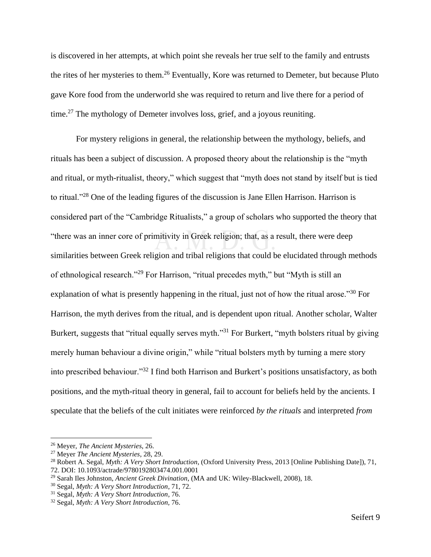is discovered in her attempts, at which point she reveals her true self to the family and entrusts the rites of her mysteries to them.<sup>26</sup> Eventually, Kore was returned to Demeter, but because Pluto gave Kore food from the underworld she was required to return and live there for a period of time.<sup>27</sup> The mythology of Demeter involves loss, grief, and a joyous reuniting.

For mystery religions in general, the relationship between the mythology, beliefs, and rituals has been a subject of discussion. A proposed theory about the relationship is the "myth and ritual, or myth-ritualist, theory," which suggest that "myth does not stand by itself but is tied to ritual."<sup>28</sup> One of the leading figures of the discussion is Jane Ellen Harrison. Harrison is considered part of the "Cambridge Ritualists," a group of scholars who supported the theory that "there was an inner core of primitivity in Greek religion; that, as a result, there were deep similarities between Greek religion and tribal religions that could be elucidated through methods of ethnological research."<sup>29</sup> For Harrison, "ritual precedes myth," but "Myth is still an explanation of what is presently happening in the ritual, just not of how the ritual arose."<sup>30</sup> For Harrison, the myth derives from the ritual, and is dependent upon ritual. Another scholar, Walter Burkert, suggests that "ritual equally serves myth."<sup>31</sup> For Burkert, "myth bolsters ritual by giving merely human behaviour a divine origin," while "ritual bolsters myth by turning a mere story into prescribed behaviour."<sup>32</sup> I find both Harrison and Burkert's positions unsatisfactory, as both positions, and the myth-ritual theory in general, fail to account for beliefs held by the ancients. I speculate that the beliefs of the cult initiates were reinforced *by the rituals* and interpreted *from* 

<sup>26</sup> Meyer, *The Ancient Mysteries*, 26.

<sup>27</sup> Meyer *The Ancient Mysteries*, 28, 29.

<sup>28</sup> Robert A. Segal, *Myth: A Very Short Introduction*, (Oxford University Press, 2013 [Online Publishing Date]), 71, 72. DOI: 10.1093/actrade/9780192803474.001.0001

<sup>29</sup> Sarah Iles Johnston, *Ancient Greek Divination*, (MA and UK: Wiley-Blackwell, 2008), 18.

<sup>30</sup> Segal, *Myth: A Very Short Introduction*, 71, 72.

<sup>31</sup> Segal, *Myth: A Very Short Introduction*, 76.

<sup>32</sup> Segal, *Myth: A Very Short Introduction,* 76.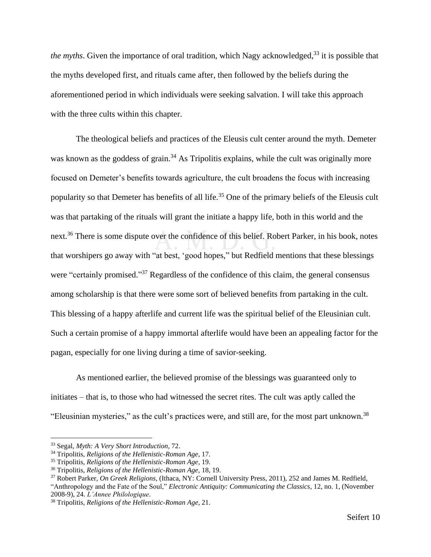the myths. Given the importance of oral tradition, which Nagy acknowledged,<sup>33</sup> it is possible that the myths developed first, and rituals came after, then followed by the beliefs during the aforementioned period in which individuals were seeking salvation. I will take this approach with the three cults within this chapter.

The theological beliefs and practices of the Eleusis cult center around the myth. Demeter was known as the goddess of grain.<sup>34</sup> As Tripolitis explains, while the cult was originally more focused on Demeter's benefits towards agriculture, the cult broadens the focus with increasing popularity so that Demeter has benefits of all life.<sup>35</sup> One of the primary beliefs of the Eleusis cult was that partaking of the rituals will grant the initiate a happy life, both in this world and the next.<sup>36</sup> There is some dispute over the confidence of this belief. Robert Parker, in his book, notes that worshipers go away with "at best, 'good hopes," but Redfield mentions that these blessings were "certainly promised."<sup>37</sup> Regardless of the confidence of this claim, the general consensus among scholarship is that there were some sort of believed benefits from partaking in the cult. This blessing of a happy afterlife and current life was the spiritual belief of the Eleusinian cult. Such a certain promise of a happy immortal afterlife would have been an appealing factor for the pagan, especially for one living during a time of savior-seeking.

As mentioned earlier, the believed promise of the blessings was guaranteed only to initiates – that is, to those who had witnessed the secret rites. The cult was aptly called the "Eleusinian mysteries," as the cult's practices were, and still are, for the most part unknown.<sup>38</sup>

<sup>33</sup> Segal, *Myth: A Very Short Introduction*, 72.

<sup>34</sup> Tripolitis, *Religions of the Hellenistic-Roman Age*, 17.

<sup>35</sup> Tripolitis, *Religions of the Hellenistic-Roman Age*, 19.

<sup>36</sup> Tripolitis, *Religions of the Hellenistic-Roman Age*, 18, 19.

<sup>37</sup> Robert Parker, *On Greek Religions*, (Ithaca, NY: Cornell University Press, 2011), 252 and James M. Redfield,

<sup>&</sup>quot;Anthropology and the Fate of the Soul," *Electronic Antiquity: Communicating the Classics*, 12, no. 1, (November 2008-9), 24. *L'Annee Philologique*.

<sup>38</sup> Tripolitis, *Religions of the Hellenistic-Roman Age*, 21.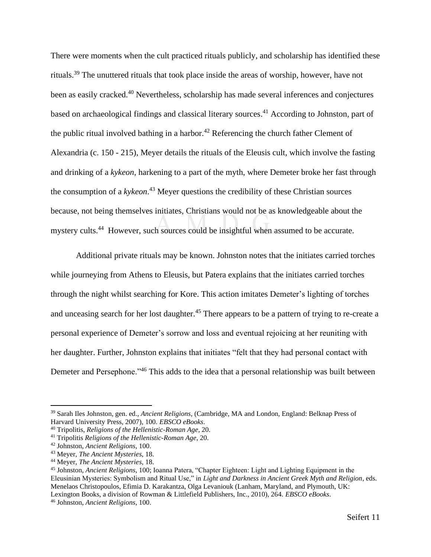There were moments when the cult practiced rituals publicly, and scholarship has identified these rituals.<sup>39</sup> The unuttered rituals that took place inside the areas of worship, however, have not been as easily cracked.<sup>40</sup> Nevertheless, scholarship has made several inferences and conjectures based on archaeological findings and classical literary sources.<sup>41</sup> According to Johnston, part of the public ritual involved bathing in a harbor.<sup>42</sup> Referencing the church father Clement of Alexandria (c. 150 - 215), Meyer details the rituals of the Eleusis cult, which involve the fasting and drinking of a *kykeon*, harkening to a part of the myth, where Demeter broke her fast through the consumption of a *kykeon*. <sup>43</sup> Meyer questions the credibility of these Christian sources because, not being themselves initiates, Christians would not be as knowledgeable about the mystery cults.<sup>44</sup> However, such sources could be insightful when assumed to be accurate.

Additional private rituals may be known. Johnston notes that the initiates carried torches while journeying from Athens to Eleusis, but Patera explains that the initiates carried torches through the night whilst searching for Kore. This action imitates Demeter's lighting of torches and unceasing search for her lost daughter.<sup>45</sup> There appears to be a pattern of trying to re-create a personal experience of Demeter's sorrow and loss and eventual rejoicing at her reuniting with her daughter. Further, Johnston explains that initiates "felt that they had personal contact with Demeter and Persephone.<sup>146</sup> This adds to the idea that a personal relationship was built between

<sup>39</sup> Sarah Iles Johnston, gen. ed., *Ancient Religions*, (Cambridge, MA and London, England: Belknap Press of Harvard University Press, 2007), 100. *EBSCO eBooks*.

<sup>40</sup> Tripolitis, *Religions of the Hellenistic-Roman Age*, 20.

<sup>41</sup> Tripolitis *Religions of the Hellenistic-Roman Age*, 20.

<sup>42</sup> Johnston, *Ancient Religions*, 100.

<sup>43</sup> Meyer, *The Ancient Mysteries*, 18.

<sup>44</sup> Meyer, *The Ancient Mysteries*, 18.

<sup>45</sup> Johnston, *Ancient Religions*, 100; Ioanna Patera, "Chapter Eighteen: Light and Lighting Equipment in the Eleusinian Mysteries: Symbolism and Ritual Use," in *Light and Darkness in Ancient Greek Myth and Religion*, eds. Menelaos Christopoulos, Efimia D. Karakantza, Olga Levaniouk (Lanham, Maryland, and Plymouth, UK: Lexington Books, a division of Rowman & Littlefield Publishers, Inc., 2010), 264. *EBSCO eBooks*.

<sup>46</sup> Johnston, *Ancient Religions*, 100.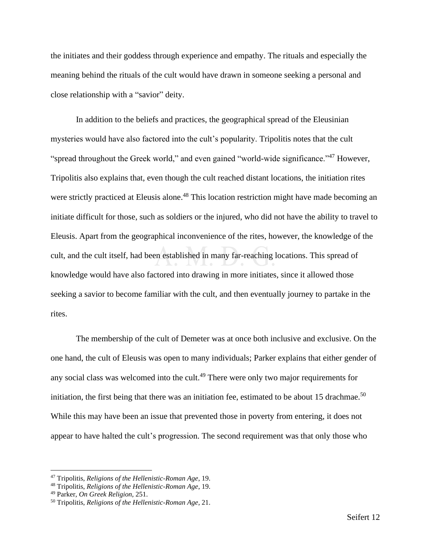the initiates and their goddess through experience and empathy. The rituals and especially the meaning behind the rituals of the cult would have drawn in someone seeking a personal and close relationship with a "savior" deity.

In addition to the beliefs and practices, the geographical spread of the Eleusinian mysteries would have also factored into the cult's popularity. Tripolitis notes that the cult "spread throughout the Greek world," and even gained "world-wide significance."<sup>47</sup> However, Tripolitis also explains that, even though the cult reached distant locations, the initiation rites were strictly practiced at Eleusis alone.<sup>48</sup> This location restriction might have made becoming an initiate difficult for those, such as soldiers or the injured, who did not have the ability to travel to Eleusis. Apart from the geographical inconvenience of the rites, however, the knowledge of the cult, and the cult itself, had been established in many far-reaching locations. This spread of knowledge would have also factored into drawing in more initiates, since it allowed those seeking a savior to become familiar with the cult, and then eventually journey to partake in the rites.

The membership of the cult of Demeter was at once both inclusive and exclusive. On the one hand, the cult of Eleusis was open to many individuals; Parker explains that either gender of any social class was welcomed into the cult.<sup>49</sup> There were only two major requirements for initiation, the first being that there was an initiation fee, estimated to be about 15 drachmae.<sup>50</sup> While this may have been an issue that prevented those in poverty from entering, it does not appear to have halted the cult's progression. The second requirement was that only those who

<sup>47</sup> Tripolitis, *Religions of the Hellenistic-Roman Age*, 19.

<sup>48</sup> Tripolitis, *Religions of the Hellenistic-Roman Age*, 19.

<sup>49</sup> Parker, *On Greek Religion*, 251.

<sup>50</sup> Tripolitis, *Religions of the Hellenistic-Roman Age*, 21.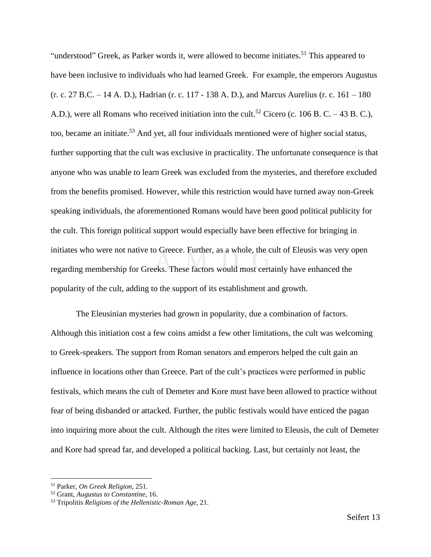"understood" Greek, as Parker words it, were allowed to become initiates.<sup>51</sup> This appeared to have been inclusive to individuals who had learned Greek. For example, the emperors Augustus (r. c. 27 B.C. – 14 A. D.), Hadrian (r. c. 117 - 138 A. D.), and Marcus Aurelius (r. c. 161 – 180 A.D.), were all Romans who received initiation into the cult.<sup>52</sup> Cicero (c. 106 B. C. – 43 B. C.), too, became an initiate. <sup>53</sup> And yet, all four individuals mentioned were of higher social status, further supporting that the cult was exclusive in practicality. The unfortunate consequence is that anyone who was unable to learn Greek was excluded from the mysteries, and therefore excluded from the benefits promised. However, while this restriction would have turned away non-Greek speaking individuals, the aforementioned Romans would have been good political publicity for the cult. This foreign political support would especially have been effective for bringing in initiates who were not native to Greece. Further, as a whole, the cult of Eleusis was very open regarding membership for Greeks. These factors would most certainly have enhanced the popularity of the cult, adding to the support of its establishment and growth.

The Eleusinian mysteries had grown in popularity, due a combination of factors. Although this initiation cost a few coins amidst a few other limitations, the cult was welcoming to Greek-speakers. The support from Roman senators and emperors helped the cult gain an influence in locations other than Greece. Part of the cult's practices were performed in public festivals, which means the cult of Demeter and Kore must have been allowed to practice without fear of being disbanded or attacked. Further, the public festivals would have enticed the pagan into inquiring more about the cult. Although the rites were limited to Eleusis, the cult of Demeter and Kore had spread far, and developed a political backing. Last, but certainly not least, the

<sup>51</sup> Parker, *On Greek Religion*, 251.

<sup>52</sup> Grant, *Augustus to Constantine*, 16.

<sup>53</sup> Tripolitis *Religions of the Hellenistic-Roman Age*, 21.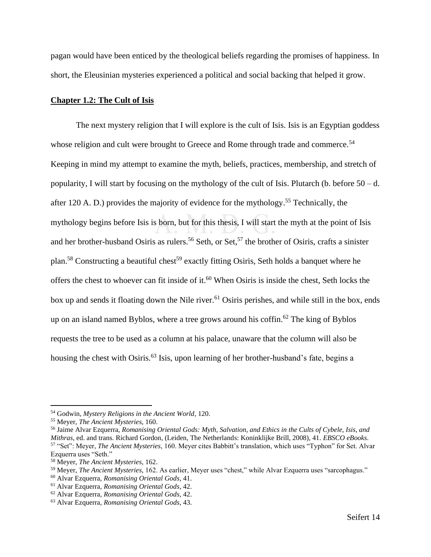pagan would have been enticed by the theological beliefs regarding the promises of happiness. In short, the Eleusinian mysteries experienced a political and social backing that helped it grow.

#### <span id="page-16-0"></span>**Chapter 1.2: The Cult of Isis**

The next mystery religion that I will explore is the cult of Isis. Isis is an Egyptian goddess whose religion and cult were brought to Greece and Rome through trade and commerce.<sup>54</sup> Keeping in mind my attempt to examine the myth, beliefs, practices, membership, and stretch of popularity, I will start by focusing on the mythology of the cult of Isis. Plutarch (b. before 50 – d. after 120 A. D.) provides the majority of evidence for the mythology.<sup>55</sup> Technically, the mythology begins before Isis is born, but for this thesis, I will start the myth at the point of Isis and her brother-husband Osiris as rulers.<sup>56</sup> Seth, or Set,<sup>57</sup> the brother of Osiris, crafts a sinister plan.<sup>58</sup> Constructing a beautiful chest<sup>59</sup> exactly fitting Osiris, Seth holds a banquet where he offers the chest to whoever can fit inside of it. <sup>60</sup> When Osiris is inside the chest, Seth locks the box up and sends it floating down the Nile river.<sup>61</sup> Osiris perishes, and while still in the box, ends up on an island named Byblos, where a tree grows around his coffin.<sup>62</sup> The king of Byblos requests the tree to be used as a column at his palace, unaware that the column will also be housing the chest with Osiris.<sup>63</sup> Isis, upon learning of her brother-husband's fate, begins a

<sup>54</sup> Godwin, *Mystery Religions in the Ancient World*, 120.

<sup>55</sup> Meyer, *The Ancient Mysteries*, 160.

<sup>56</sup> Jaime Alvar Ezquerra, *Romanising Oriental Gods: Myth, Salvation, and Ethics in the Cults of Cybele, Isis, and Mithras*, ed. and trans. Richard Gordon, (Leiden, The Netherlands: Koninklijke Brill, 2008), 41. *EBSCO eBooks*. <sup>57</sup> "Set": Meyer, *The Ancient Mysteries*, 160. Meyer cites Babbitt's translation, which uses "Typhon" for Set. Alvar Ezquerra uses "Seth."

<sup>58</sup> Meyer, *The Ancient Mysteries*, 162.

<sup>59</sup> Meyer, *The Ancient Mysteries*, 162. As earlier, Meyer uses "chest," while Alvar Ezquerra uses "sarcophagus."

<sup>60</sup> Alvar Ezquerra, *Romanising Oriental Gods*, 41.

<sup>61</sup> Alvar Ezquerra, *Romanising Oriental Gods*, 42.

<sup>62</sup> Alvar Ezquerra, *Romanising Oriental Gods*, 42.

<sup>63</sup> Alvar Ezquerra, *Romanising Oriental Gods*, 43.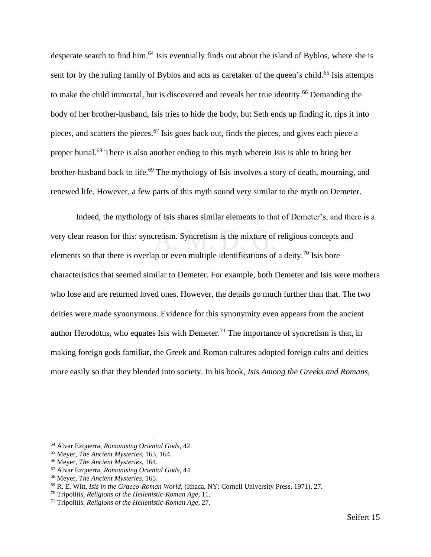desperate search to find him.<sup>64</sup> Isis eventually finds out about the island of Byblos, where she is sent for by the ruling family of Byblos and acts as caretaker of the queen's child.<sup>65</sup> Isis attempts to make the child immortal, but is discovered and reveals her true identity.<sup>66</sup> Demanding the body of her brother-husband, Isis tries to hide the body, but Seth ends up finding it, rips it into pieces, and scatters the pieces. <sup>67</sup> Isis goes back out, finds the pieces, and gives each piece a proper burial.<sup>68</sup> There is also another ending to this myth wherein Isis is able to bring her brother-husband back to life.<sup>69</sup> The mythology of Isis involves a story of death, mourning, and renewed life. However, a few parts of this myth sound very similar to the myth on Demeter.

Indeed, the mythology of Isis shares similar elements to that of Demeter's, and there is a very clear reason for this: syncretism. Syncretism is the mixture of religious concepts and elements so that there is overlap or even multiple identifications of a deity.<sup>70</sup> Isis bore characteristics that seemed similar to Demeter. For example, both Demeter and Isis were mothers who lose and are returned loved ones. However, the details go much further than that. The two deities were made synonymous. Evidence for this synonymity even appears from the ancient author Herodotus, who equates Isis with Demeter.<sup>71</sup> The importance of syncretism is that, in making foreign gods familiar, the Greek and Roman cultures adopted foreign cults and deities more easily so that they blended into society. In his book, *Isis Among the Greeks and Romans*,

<sup>64</sup> Alvar Ezquerra, *Romanising Oriental Gods*, 42.

<sup>65</sup> Meyer, *The Ancient Mysteries*, 163, 164.

<sup>66</sup> Meyer, *The Ancient Mysteries*, 164.

<sup>67</sup> Alvar Ezquerra, *Romanising Oriental Gods*, 44.

<sup>68</sup> Meyer, *The Ancient Mysteries*, 165.

<sup>69</sup> R. E. Witt, *Isis in the Graeco-Roman World*, (Ithaca, NY: Cornell University Press, 1971), 27.

<sup>70</sup> Tripolitis, *Religions of the Hellenistic-Roman Age*, 11.

<sup>71</sup> Tripolitis, *Religions of the Hellenistic-Roman Age*, 27.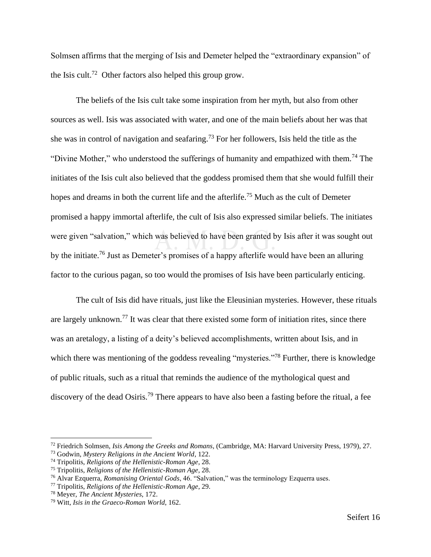Solmsen affirms that the merging of Isis and Demeter helped the "extraordinary expansion" of the Isis cult.<sup>72</sup> Other factors also helped this group grow.

The beliefs of the Isis cult take some inspiration from her myth, but also from other sources as well. Isis was associated with water, and one of the main beliefs about her was that she was in control of navigation and seafaring.<sup>73</sup> For her followers, Isis held the title as the "Divine Mother," who understood the sufferings of humanity and empathized with them.<sup>74</sup> The initiates of the Isis cult also believed that the goddess promised them that she would fulfill their hopes and dreams in both the current life and the afterlife.<sup>75</sup> Much as the cult of Demeter promised a happy immortal afterlife, the cult of Isis also expressed similar beliefs. The initiates were given "salvation," which was believed to have been granted by Isis after it was sought out by the initiate.<sup>76</sup> Just as Demeter's promises of a happy afterlife would have been an alluring factor to the curious pagan, so too would the promises of Isis have been particularly enticing.

The cult of Isis did have rituals, just like the Eleusinian mysteries. However, these rituals are largely unknown.<sup>77</sup> It was clear that there existed some form of initiation rites, since there was an aretalogy, a listing of a deity's believed accomplishments, written about Isis, and in which there was mentioning of the goddess revealing "mysteries."<sup>78</sup> Further, there is knowledge of public rituals, such as a ritual that reminds the audience of the mythological quest and discovery of the dead Osiris.<sup>79</sup> There appears to have also been a fasting before the ritual, a fee

<sup>72</sup> Friedrich Solmsen, *Isis Among the Greeks and Romans*, (Cambridge, MA: Harvard University Press, 1979), 27.

<sup>73</sup> Godwin, *Mystery Religions in the Ancient World*, 122.

<sup>74</sup> Tripolitis, *Religions of the Hellenistic-Roman Age*, 28.

<sup>75</sup> Tripolitis, *Religions of the Hellenistic-Roman Age*, 28.

<sup>76</sup> Alvar Ezquerra, *Romanising Oriental Gods*, 46. "Salvation," was the terminology Ezquerra uses.

<sup>77</sup> Tripolitis, *Religions of the Hellenistic-Roman Age*, 29.

<sup>78</sup> Meyer, *The Ancient Mysteries*, 172.

<sup>79</sup> Witt, *Isis in the Graeco-Roman World*, 162.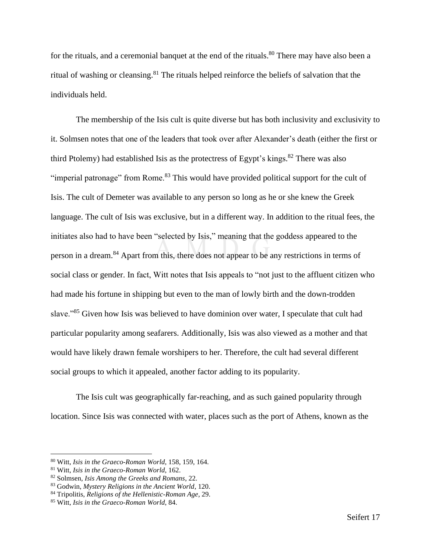for the rituals, and a ceremonial banquet at the end of the rituals.<sup>80</sup> There may have also been a ritual of washing or cleansing.<sup>81</sup> The rituals helped reinforce the beliefs of salvation that the individuals held.

The membership of the Isis cult is quite diverse but has both inclusivity and exclusivity to it. Solmsen notes that one of the leaders that took over after Alexander's death (either the first or third Ptolemy) had established Isis as the protectress of Egypt's kings.<sup>82</sup> There was also "imperial patronage" from Rome.<sup>83</sup> This would have provided political support for the cult of Isis. The cult of Demeter was available to any person so long as he or she knew the Greek language. The cult of Isis was exclusive, but in a different way. In addition to the ritual fees, the initiates also had to have been "selected by Isis," meaning that the goddess appeared to the person in a dream.<sup>84</sup> Apart from this, there does not appear to be any restrictions in terms of social class or gender. In fact, Witt notes that Isis appeals to "not just to the affluent citizen who had made his fortune in shipping but even to the man of lowly birth and the down-trodden slave."<sup>85</sup> Given how Isis was believed to have dominion over water, I speculate that cult had particular popularity among seafarers. Additionally, Isis was also viewed as a mother and that would have likely drawn female worshipers to her. Therefore, the cult had several different social groups to which it appealed, another factor adding to its popularity.

The Isis cult was geographically far-reaching, and as such gained popularity through location. Since Isis was connected with water, places such as the port of Athens, known as the

<sup>80</sup> Witt, *Isis in the Graeco-Roman World*, 158, 159, 164.

<sup>81</sup> Witt, *Isis in the Graeco-Roman World*, 162.

<sup>82</sup> Solmsen, *Isis Among the Greeks and Romans*, 22.

<sup>83</sup> Godwin, *Mystery Religions in the Ancient World*, 120.

<sup>84</sup> Tripolitis, *Religions of the Hellenistic-Roman Age*, 29.

<sup>85</sup> Witt, *Isis in the Graeco-Roman World*, 84.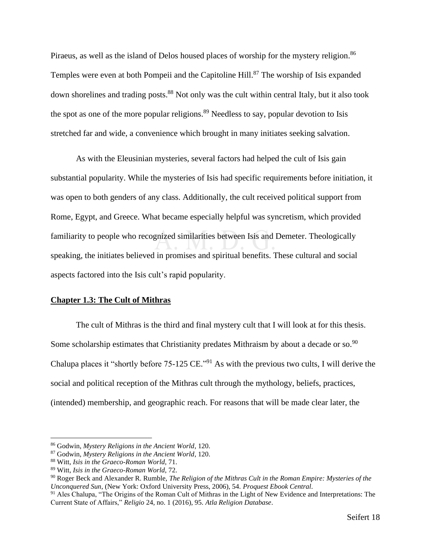Piraeus, as well as the island of Delos housed places of worship for the mystery religion.<sup>86</sup> Temples were even at both Pompeii and the Capitoline Hill.<sup>87</sup> The worship of Isis expanded down shorelines and trading posts.<sup>88</sup> Not only was the cult within central Italy, but it also took the spot as one of the more popular religions.<sup>89</sup> Needless to say, popular devotion to Isis stretched far and wide, a convenience which brought in many initiates seeking salvation.

As with the Eleusinian mysteries, several factors had helped the cult of Isis gain substantial popularity. While the mysteries of Isis had specific requirements before initiation, it was open to both genders of any class. Additionally, the cult received political support from Rome, Egypt, and Greece. What became especially helpful was syncretism, which provided familiarity to people who recognized similarities between Isis and Demeter. Theologically speaking, the initiates believed in promises and spiritual benefits. These cultural and social aspects factored into the Isis cult's rapid popularity.

#### <span id="page-20-0"></span>**Chapter 1.3: The Cult of Mithras**

The cult of Mithras is the third and final mystery cult that I will look at for this thesis. Some scholarship estimates that Christianity predates Mithraism by about a decade or so.<sup>90</sup> Chalupa places it "shortly before  $75{\text -}125 \text{ CE.}$ "<sup>91</sup> As with the previous two cults, I will derive the social and political reception of the Mithras cult through the mythology, beliefs, practices, (intended) membership, and geographic reach. For reasons that will be made clear later, the

<sup>86</sup> Godwin, *Mystery Religions in the Ancient World*, 120.

<sup>87</sup> Godwin, *Mystery Religions in the Ancient World*, 120.

<sup>88</sup> Witt, *Isis in the Graeco-Roman World*, 71.

<sup>89</sup> Witt, *Isis in the Graeco-Roman World*, 72.

<sup>90</sup> Roger Beck and Alexander R. Rumble, *The Religion of the Mithras Cult in the Roman Empire: Mysteries of the Unconquered Sun*, (New York: Oxford University Press, 2006), 54. *Proquest Ebook Central*.

<sup>&</sup>lt;sup>91</sup> Ales Chalupa, "The Origins of the Roman Cult of Mithras in the Light of New Evidence and Interpretations: The Current State of Affairs," *Religio* 24, no. 1 (2016), 95. *Atla Religion Database*.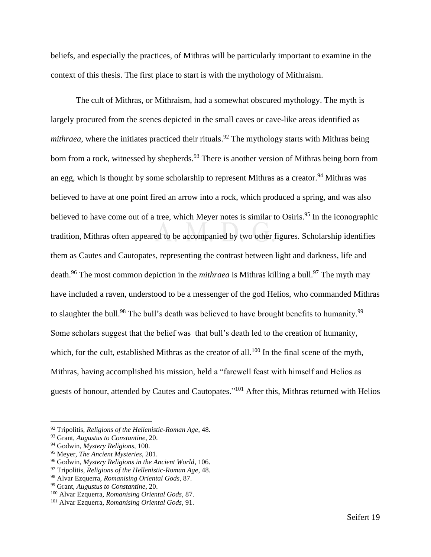beliefs, and especially the practices, of Mithras will be particularly important to examine in the context of this thesis. The first place to start is with the mythology of Mithraism.

The cult of Mithras, or Mithraism, had a somewhat obscured mythology. The myth is largely procured from the scenes depicted in the small caves or cave-like areas identified as *mithraea*, where the initiates practiced their rituals.<sup>92</sup> The mythology starts with Mithras being born from a rock, witnessed by shepherds.<sup>93</sup> There is another version of Mithras being born from an egg, which is thought by some scholarship to represent Mithras as a creator.<sup>94</sup> Mithras was believed to have at one point fired an arrow into a rock, which produced a spring, and was also believed to have come out of a tree, which Meyer notes is similar to Osiris.<sup>95</sup> In the iconographic tradition, Mithras often appeared to be accompanied by two other figures. Scholarship identifies them as Cautes and Cautopates, representing the contrast between light and darkness, life and death.<sup>96</sup> The most common depiction in the *mithraea* is Mithras killing a bull.<sup>97</sup> The myth may have included a raven, understood to be a messenger of the god Helios, who commanded Mithras to slaughter the bull.<sup>98</sup> The bull's death was believed to have brought benefits to humanity.<sup>99</sup> Some scholars suggest that the belief was that bull's death led to the creation of humanity, which, for the cult, established Mithras as the creator of all.<sup>100</sup> In the final scene of the myth, Mithras, having accomplished his mission, held a "farewell feast with himself and Helios as guests of honour, attended by Cautes and Cautopates."<sup>101</sup> After this, Mithras returned with Helios

<sup>92</sup> Tripolitis, *Religions of the Hellenistic-Roman Age*, 48.

<sup>93</sup> Grant, *Augustus to Constantine*, 20.

<sup>94</sup> Godwin, *Mystery Religions*, 100.

<sup>95</sup> Meyer, *The Ancient Mysteries*, 201.

<sup>96</sup> Godwin, *Mystery Religions in the Ancient World*, 106.

<sup>97</sup> Tripolitis, *Religions of the Hellenistic-Roman Age*, 48.

<sup>98</sup> Alvar Ezquerra, *Romanising Oriental Gods*, 87.

<sup>99</sup> Grant, *Augustus to Constantine*, 20.

<sup>100</sup> Alvar Ezquerra, *Romanising Oriental Gods*, 87.

<sup>101</sup> Alvar Ezquerra, *Romanising Oriental Gods*, 91.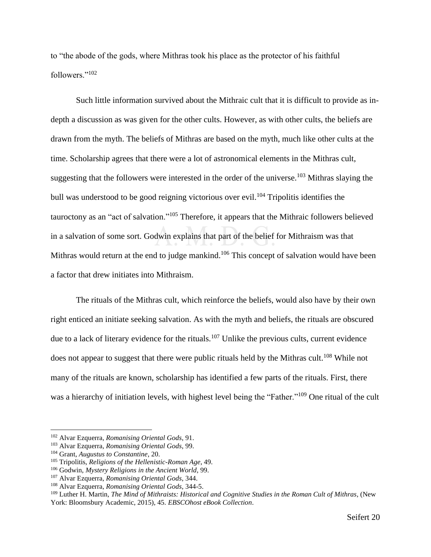to "the abode of the gods, where Mithras took his place as the protector of his faithful followers."<sup>102</sup>

Such little information survived about the Mithraic cult that it is difficult to provide as indepth a discussion as was given for the other cults. However, as with other cults, the beliefs are drawn from the myth. The beliefs of Mithras are based on the myth, much like other cults at the time. Scholarship agrees that there were a lot of astronomical elements in the Mithras cult, suggesting that the followers were interested in the order of the universe.<sup>103</sup> Mithras slaying the bull was understood to be good reigning victorious over evil.<sup>104</sup> Tripolitis identifies the tauroctony as an "act of salvation."<sup>105</sup> Therefore, it appears that the Mithraic followers believed in a salvation of some sort. Godwin explains that part of the belief for Mithraism was that Mithras would return at the end to judge mankind.<sup>106</sup> This concept of salvation would have been a factor that drew initiates into Mithraism.

The rituals of the Mithras cult, which reinforce the beliefs, would also have by their own right enticed an initiate seeking salvation. As with the myth and beliefs, the rituals are obscured due to a lack of literary evidence for the rituals.<sup>107</sup> Unlike the previous cults, current evidence does not appear to suggest that there were public rituals held by the Mithras cult.<sup>108</sup> While not many of the rituals are known, scholarship has identified a few parts of the rituals. First, there was a hierarchy of initiation levels, with highest level being the "Father."<sup>109</sup> One ritual of the cult

<sup>102</sup> Alvar Ezquerra, *Romanising Oriental Gods*, 91.

<sup>103</sup> Alvar Ezquerra, *Romanising Oriental Gods*, 99.

<sup>104</sup> Grant, *Augustus to Constantine*, 20.

<sup>105</sup> Tripolitis, *Religions of the Hellenistic-Roman Age*, 49.

<sup>106</sup> Godwin, *Mystery Religions in the Ancient World*, 99.

<sup>107</sup> Alvar Ezquerra, *Romanising Oriental Gods*, 344.

<sup>108</sup> Alvar Ezquerra, *Romanising Oriental Gods*, 344-5.

<sup>109</sup> Luther H. Martin, *The Mind of Mithraists: Historical and Cognitive Studies in the Roman Cult of Mithras*, (New York: Bloomsbury Academic, 2015), 45. *EBSCOhost eBook Collection*.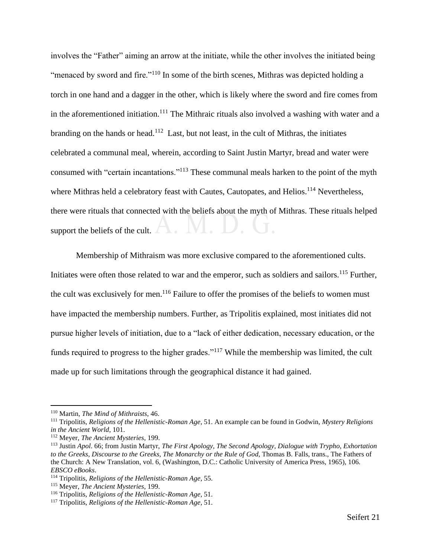involves the "Father" aiming an arrow at the initiate, while the other involves the initiated being "menaced by sword and fire."<sup>110</sup> In some of the birth scenes, Mithras was depicted holding a torch in one hand and a dagger in the other, which is likely where the sword and fire comes from in the aforementioned initiation.<sup>111</sup> The Mithraic rituals also involved a washing with water and a branding on the hands or head.<sup>112</sup> Last, but not least, in the cult of Mithras, the initiates celebrated a communal meal, wherein, according to Saint Justin Martyr, bread and water were consumed with "certain incantations."<sup>113</sup> These communal meals harken to the point of the myth where Mithras held a celebratory feast with Cautes, Cautopates, and Helios.<sup>114</sup> Nevertheless, there were rituals that connected with the beliefs about the myth of Mithras. These rituals helped support the beliefs of the cult.

Membership of Mithraism was more exclusive compared to the aforementioned cults. Initiates were often those related to war and the emperor, such as soldiers and sailors.<sup>115</sup> Further, the cult was exclusively for men.<sup>116</sup> Failure to offer the promises of the beliefs to women must have impacted the membership numbers. Further, as Tripolitis explained, most initiates did not pursue higher levels of initiation, due to a "lack of either dedication, necessary education, or the funds required to progress to the higher grades."<sup>117</sup> While the membership was limited, the cult made up for such limitations through the geographical distance it had gained.

<sup>110</sup> Martin, *The Mind of Mithraists*, 46.

<sup>111</sup> Tripolitis, *Religions of the Hellenistic-Roman Age*, 51. An example can be found in Godwin, *Mystery Religions in the Ancient World*, 101.

<sup>112</sup> Meyer, *The Ancient Mysteries*, 199.

<sup>113</sup> Justin *Apol*. 66; from Justin Martyr, *The First Apology, The Second Apology, Dialogue with Trypho, Exhortation to the Greeks, Discourse to the Greeks, The Monarchy or the Rule of God*, Thomas B. Falls, trans., The Fathers of the Church: A New Translation, vol. 6, (Washington, D.C.: Catholic University of America Press, 1965), 106. *EBSCO eBooks*.

<sup>114</sup> Tripolitis, *Religions of the Hellenistic-Roman Age*, 55.

<sup>115</sup> Meyer, *The Ancient Mysteries*, 199.

<sup>116</sup> Tripolitis, *Religions of the Hellenistic-Roman Age*, 51.

<sup>117</sup> Tripolitis, *Religions of the Hellenistic-Roman Age*, 51.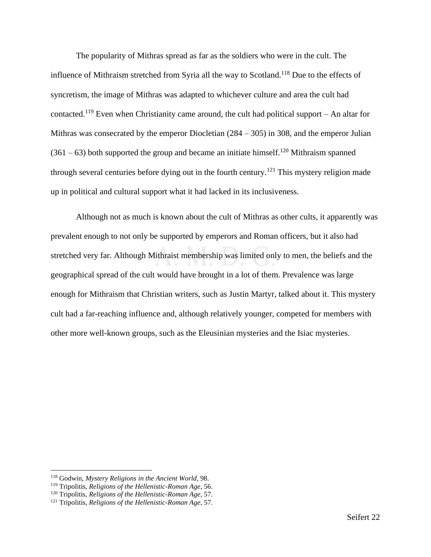The popularity of Mithras spread as far as the soldiers who were in the cult. The influence of Mithraism stretched from Syria all the way to Scotland.<sup>118</sup> Due to the effects of syncretism, the image of Mithras was adapted to whichever culture and area the cult had contacted.<sup>119</sup> Even when Christianity came around, the cult had political support – An altar for Mithras was consecrated by the emperor Diocletian (284 – 305) in 308, and the emperor Julian  $(361 – 63)$  both supported the group and became an initiate himself.<sup>120</sup> Mithraism spanned through several centuries before dying out in the fourth century.<sup>121</sup> This mystery religion made up in political and cultural support what it had lacked in its inclusiveness.

Although not as much is known about the cult of Mithras as other cults, it apparently was prevalent enough to not only be supported by emperors and Roman officers, but it also had stretched very far. Although Mithraist membership was limited only to men, the beliefs and the geographical spread of the cult would have brought in a lot of them. Prevalence was large enough for Mithraism that Christian writers, such as Justin Martyr, talked about it. This mystery cult had a far-reaching influence and, although relatively younger, competed for members with other more well-known groups, such as the Eleusinian mysteries and the Isiac mysteries.

<sup>118</sup> Godwin, *Mystery Religions in the Ancient World*, 98.

<sup>119</sup> Tripolitis, *Religions of the Hellenistic-Roman Age*, 56.

<sup>120</sup> Tripolitis, *Religions of the Hellenistic-Roman Age*, 57.

<sup>121</sup> Tripolitis, *Religions of the Hellenistic-Roman Age*, 57.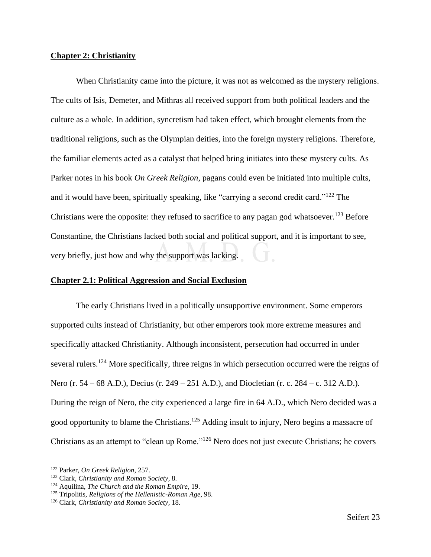#### <span id="page-25-0"></span>**Chapter 2: Christianity**

When Christianity came into the picture, it was not as welcomed as the mystery religions. The cults of Isis, Demeter, and Mithras all received support from both political leaders and the culture as a whole. In addition, syncretism had taken effect, which brought elements from the traditional religions, such as the Olympian deities, into the foreign mystery religions. Therefore, the familiar elements acted as a catalyst that helped bring initiates into these mystery cults. As Parker notes in his book *On Greek Religion*, pagans could even be initiated into multiple cults, and it would have been, spiritually speaking, like "carrying a second credit card."<sup>122</sup> The Christians were the opposite: they refused to sacrifice to any pagan god whatsoever.<sup>123</sup> Before Constantine, the Christians lacked both social and political support, and it is important to see, very briefly, just how and why the support was lacking.

#### <span id="page-25-1"></span>**Chapter 2.1: Political Aggression and Social Exclusion**

The early Christians lived in a politically unsupportive environment. Some emperors supported cults instead of Christianity, but other emperors took more extreme measures and specifically attacked Christianity. Although inconsistent, persecution had occurred in under several rulers.<sup>124</sup> More specifically, three reigns in which persecution occurred were the reigns of Nero (r. 54 – 68 A.D.), Decius (r. 249 – 251 A.D.), and Diocletian (r. c. 284 – c. 312 A.D.). During the reign of Nero, the city experienced a large fire in 64 A.D., which Nero decided was a good opportunity to blame the Christians.<sup>125</sup> Adding insult to injury, Nero begins a massacre of Christians as an attempt to "clean up Rome."<sup>126</sup> Nero does not just execute Christians; he covers

<sup>122</sup> Parker, *On Greek Religion*, 257.

<sup>123</sup> Clark, *Christianity and Roman Society*, 8.

<sup>124</sup> Aquilina, *The Church and the Roman Empire*, 19.

<sup>125</sup> Tripolitis, *Religions of the Hellenistic-Roman Age*, 98.

<sup>126</sup> Clark, *Christianity and Roman Society*, 18.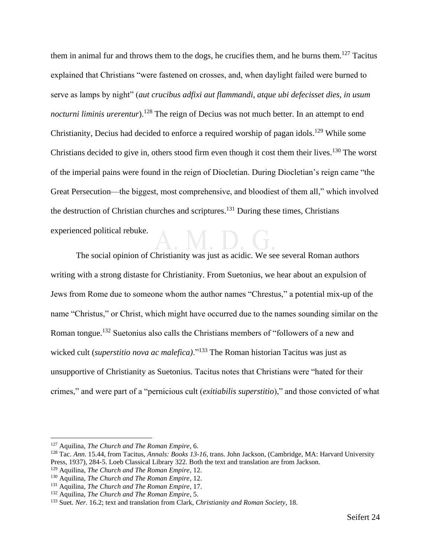them in animal fur and throws them to the dogs, he crucifies them, and he burns them.<sup>127</sup> Tacitus explained that Christians "were fastened on crosses, and, when daylight failed were burned to serve as lamps by night" (*aut crucibus adfixi aut flammandi, atque ubi defecisset dies, in usum nocturni liminis urerentur*).<sup>128</sup> The reign of Decius was not much better. In an attempt to end Christianity, Decius had decided to enforce a required worship of pagan idols.<sup>129</sup> While some Christians decided to give in, others stood firm even though it cost them their lives.<sup>130</sup> The worst of the imperial pains were found in the reign of Diocletian. During Diocletian's reign came "the Great Persecution—the biggest, most comprehensive, and bloodiest of them all," which involved the destruction of Christian churches and scriptures.<sup>131</sup> During these times, Christians experienced political rebuke.

The social opinion of Christianity was just as acidic. We see several Roman authors writing with a strong distaste for Christianity. From Suetonius, we hear about an expulsion of Jews from Rome due to someone whom the author names "Chrestus," a potential mix-up of the name "Christus," or Christ, which might have occurred due to the names sounding similar on the Roman tongue.<sup>132</sup> Suetonius also calls the Christians members of "followers of a new and wicked cult (*superstitio nova ac malefica*)."<sup>133</sup> The Roman historian Tacitus was just as unsupportive of Christianity as Suetonius. Tacitus notes that Christians were "hated for their crimes," and were part of a "pernicious cult (*exitiabilis superstitio*)," and those convicted of what

<sup>127</sup> Aquilina, *The Church and The Roman Empire*, 6.

<sup>128</sup> Tac. *Ann*. 15.44, from Tacitus, *Annals: Books 13-16*, trans. John Jackson, (Cambridge, MA: Harvard University Press, 1937), 284-5. Loeb Classical Library 322. Both the text and translation are from Jackson.

<sup>129</sup> Aquilina, *The Church and The Roman Empire*, 12.

<sup>130</sup> Aquilina, *The Church and The Roman Empire*, 12.

<sup>131</sup> Aquilina, *The Church and The Roman Empire*, 17.

<sup>132</sup> Aquilina, *The Church and The Roman Empire*, 5.

<sup>133</sup> Suet. *Ner.* 16.2; text and translation from Clark, *Christianity and Roman Society*, 18.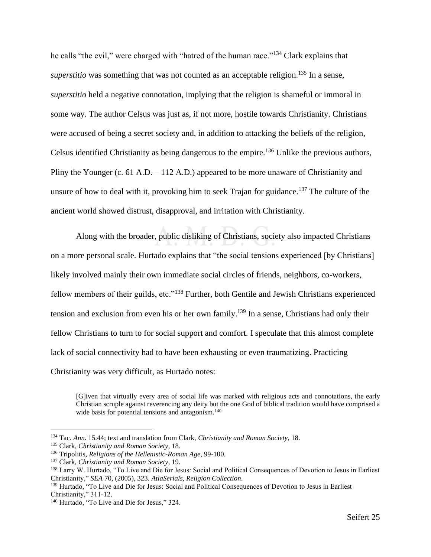he calls "the evil," were charged with "hatred of the human race."<sup>134</sup> Clark explains that *superstitio* was something that was not counted as an acceptable religion.<sup>135</sup> In a sense, *superstitio* held a negative connotation, implying that the religion is shameful or immoral in some way. The author Celsus was just as, if not more, hostile towards Christianity. Christians were accused of being a secret society and, in addition to attacking the beliefs of the religion, Celsus identified Christianity as being dangerous to the empire.<sup>136</sup> Unlike the previous authors, Pliny the Younger (c. 61 A.D. – 112 A.D.) appeared to be more unaware of Christianity and unsure of how to deal with it, provoking him to seek Trajan for guidance.<sup>137</sup> The culture of the ancient world showed distrust, disapproval, and irritation with Christianity.

Along with the broader, public disliking of Christians, society also impacted Christians on a more personal scale. Hurtado explains that "the social tensions experienced [by Christians] likely involved mainly their own immediate social circles of friends, neighbors, co-workers, fellow members of their guilds, etc."<sup>138</sup> Further, both Gentile and Jewish Christians experienced tension and exclusion from even his or her own family.<sup>139</sup> In a sense, Christians had only their fellow Christians to turn to for social support and comfort. I speculate that this almost complete lack of social connectivity had to have been exhausting or even traumatizing. Practicing Christianity was very difficult, as Hurtado notes:

<sup>[</sup>G]iven that virtually every area of social life was marked with religious acts and connotations, the early Christian scruple against reverencing any deity but the one God of biblical tradition would have comprised a wide basis for potential tensions and antagonism.<sup>140</sup>

<sup>134</sup> Tac. *Ann*. 15.44; text and translation from Clark, *Christianity and Roman Society*, 18.

<sup>135</sup> Clark, *Christianity and Roman Society*, 18.

<sup>136</sup> Tripolitis, *Religions of the Hellenistic-Roman Age*, 99-100.

<sup>137</sup> Clark, *Christianity and Roman Society*, 19.

<sup>138</sup> Larry W. Hurtado, "To Live and Die for Jesus: Social and Political Consequences of Devotion to Jesus in Earliest Christianity," *SEA* 70, (2005), 323. *AtlaSerials*, *Religion Collection*.

<sup>139</sup> Hurtado, "To Live and Die for Jesus: Social and Political Consequences of Devotion to Jesus in Earliest Christianity," 311-12.

<sup>140</sup> Hurtado, "To Live and Die for Jesus," 324.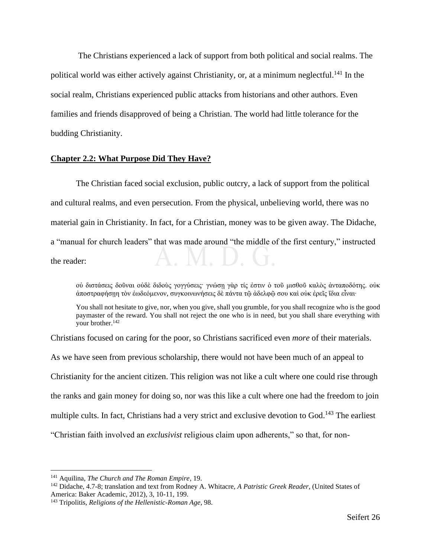The Christians experienced a lack of support from both political and social realms. The political world was either actively against Christianity, or, at a minimum neglectful.<sup>141</sup> In the social realm, Christians experienced public attacks from historians and other authors. Even families and friends disapproved of being a Christian. The world had little tolerance for the budding Christianity.

#### <span id="page-28-0"></span>**Chapter 2.2: What Purpose Did They Have?**

The Christian faced social exclusion, public outcry, a lack of support from the political and cultural realms, and even persecution. From the physical, unbelieving world, there was no material gain in Christianity. In fact, for a Christian, money was to be given away. The Didache, a "manual for church leaders" that was made around "the middle of the first century," instructed the reader:

οὐ διστάσεις δοῦναι οὐδὲ διδοὺς γογγύσεις· γνώσῃ γὰρ τίς ἐστιν ὁ τοῦ μισθοῦ καλὸς ἀνταποδότης. οὐκ ἀποστραφήσῃη τὸν ἐωδεόμενον, συγκοινωνήσεις δὲ πάντα τῷ ἀδελφῷ σου καὶ οὐκ ἐρεῖς ἴδια εἶναι‧

You shall not hesitate to give, nor, when you give, shall you grumble, for you shall recognize who is the good paymaster of the reward. You shall not reject the one who is in need, but you shall share everything with your brother. 142

Christians focused on caring for the poor, so Christians sacrificed even *more* of their materials.

As we have seen from previous scholarship, there would not have been much of an appeal to Christianity for the ancient citizen. This religion was not like a cult where one could rise through the ranks and gain money for doing so, nor was this like a cult where one had the freedom to join multiple cults. In fact, Christians had a very strict and exclusive devotion to God.<sup>143</sup> The earliest "Christian faith involved an *exclusivist* religious claim upon adherents," so that, for non-

<sup>141</sup> Aquilina, *The Church and The Roman Empire*, 19.

<sup>142</sup> Didache, 4.7-8; translation and text from Rodney A. Whitacre, *A Patristic Greek Reader*, (United States of America: Baker Academic, 2012), 3, 10-11, 199.

<sup>143</sup> Tripolitis, *Religions of the Hellenistic-Roman Age*, 98.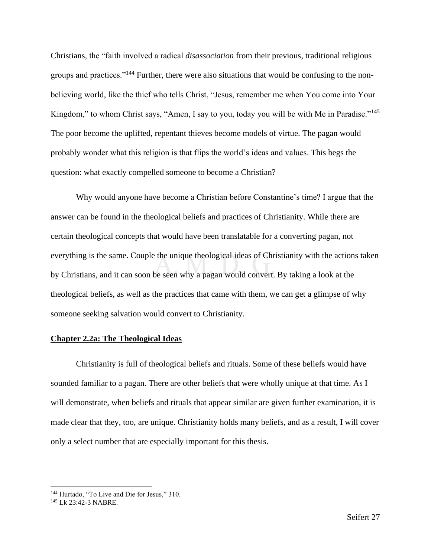Christians, the "faith involved a radical *disassociation* from their previous, traditional religious groups and practices."<sup>144</sup> Further, there were also situations that would be confusing to the nonbelieving world, like the thief who tells Christ, "Jesus, remember me when You come into Your Kingdom," to whom Christ says, "Amen, I say to you, today you will be with Me in Paradise."<sup>145</sup> The poor become the uplifted, repentant thieves become models of virtue. The pagan would probably wonder what this religion is that flips the world's ideas and values. This begs the question: what exactly compelled someone to become a Christian?

Why would anyone have become a Christian before Constantine's time? I argue that the answer can be found in the theological beliefs and practices of Christianity. While there are certain theological concepts that would have been translatable for a converting pagan, not everything is the same. Couple the unique theological ideas of Christianity with the actions taken by Christians, and it can soon be seen why a pagan would convert. By taking a look at the theological beliefs, as well as the practices that came with them, we can get a glimpse of why someone seeking salvation would convert to Christianity.

#### <span id="page-29-0"></span>**Chapter 2.2a: The Theological Ideas**

Christianity is full of theological beliefs and rituals. Some of these beliefs would have sounded familiar to a pagan. There are other beliefs that were wholly unique at that time. As I will demonstrate, when beliefs and rituals that appear similar are given further examination, it is made clear that they, too, are unique. Christianity holds many beliefs, and as a result, I will cover only a select number that are especially important for this thesis.

<sup>144</sup> Hurtado, "To Live and Die for Jesus," 310.

<sup>145</sup> Lk 23:42-3 NABRE.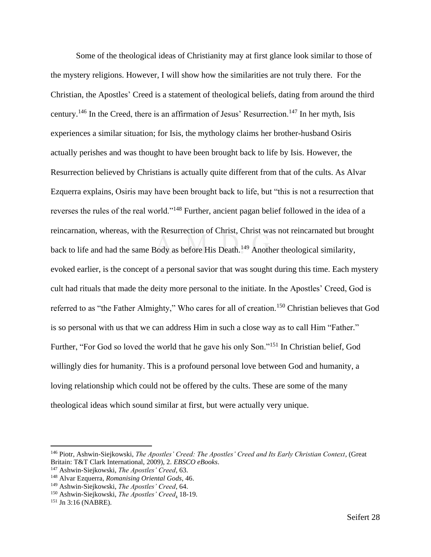Some of the theological ideas of Christianity may at first glance look similar to those of the mystery religions. However, I will show how the similarities are not truly there. For the Christian, the Apostles' Creed is a statement of theological beliefs, dating from around the third century.<sup>146</sup> In the Creed, there is an affirmation of Jesus' Resurrection.<sup>147</sup> In her myth, Isis experiences a similar situation; for Isis, the mythology claims her brother-husband Osiris actually perishes and was thought to have been brought back to life by Isis. However, the Resurrection believed by Christians is actually quite different from that of the cults. As Alvar Ezquerra explains, Osiris may have been brought back to life, but "this is not a resurrection that reverses the rules of the real world."<sup>148</sup> Further, ancient pagan belief followed in the idea of a reincarnation, whereas, with the Resurrection of Christ, Christ was not reincarnated but brought back to life and had the same Body as before His Death.<sup>149</sup> Another theological similarity, evoked earlier, is the concept of a personal savior that was sought during this time. Each mystery cult had rituals that made the deity more personal to the initiate. In the Apostles' Creed, God is referred to as "the Father Almighty," Who cares for all of creation.<sup>150</sup> Christian believes that God is so personal with us that we can address Him in such a close way as to call Him "Father." Further, "For God so loved the world that he gave his only Son."<sup>151</sup> In Christian belief, God willingly dies for humanity. This is a profound personal love between God and humanity, a loving relationship which could not be offered by the cults. These are some of the many theological ideas which sound similar at first, but were actually very unique.

<sup>146</sup> Piotr, Ashwin-Siejkowski, *The Apostles' Creed: The Apostles' Creed and Its Early Christian Context*, (Great Britain: T&T Clark International, 2009), 2. *EBSCO eBooks*.

<sup>147</sup> Ashwin-Siejkowski, *The Apostles' Creed*, 63.

<sup>148</sup> Alvar Ezquerra, *Romanising Oriental Gods*, 46.

<sup>149</sup> Ashwin-Siejkowski, *The Apostles' Creed*, 64.

<sup>150</sup> Ashwin-Siejkowski, *The Apostles' Creed,* 18-19.

<sup>151</sup> Jn 3:16 (NABRE).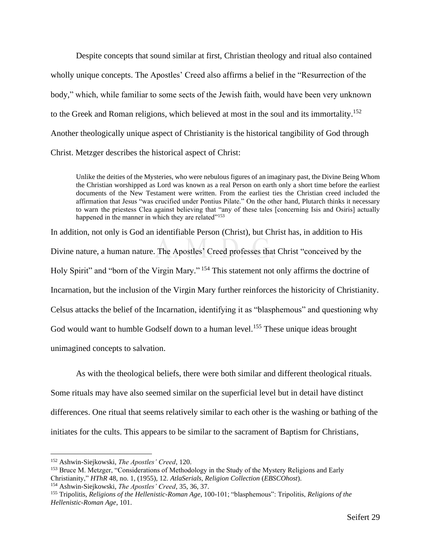Despite concepts that sound similar at first, Christian theology and ritual also contained wholly unique concepts. The Apostles' Creed also affirms a belief in the "Resurrection of the body," which, while familiar to some sects of the Jewish faith, would have been very unknown to the Greek and Roman religions, which believed at most in the soul and its immortality.<sup>152</sup> Another theologically unique aspect of Christianity is the historical tangibility of God through Christ. Metzger describes the historical aspect of Christ:

Unlike the deities of the Mysteries, who were nebulous figures of an imaginary past, the Divine Being Whom the Christian worshipped as Lord was known as a real Person on earth only a short time before the earliest documents of the New Testament were written. From the earliest ties the Christian creed included the affirmation that Jesus "was crucified under Pontius Pilate." On the other hand, Plutarch thinks it necessary to warn the priestess Clea against believing that "any of these tales [concerning Isis and Osiris] actually happened in the manner in which they are related"<sup>153</sup>

In addition, not only is God an identifiable Person (Christ), but Christ has, in addition to His Divine nature, a human nature. The Apostles' Creed professes that Christ "conceived by the Holy Spirit" and "born of the Virgin Mary." <sup>154</sup> This statement not only affirms the doctrine of Incarnation, but the inclusion of the Virgin Mary further reinforces the historicity of Christianity. Celsus attacks the belief of the Incarnation, identifying it as "blasphemous" and questioning why God would want to humble Godself down to a human level.<sup>155</sup> These unique ideas brought

unimagined concepts to salvation.

As with the theological beliefs, there were both similar and different theological rituals. Some rituals may have also seemed similar on the superficial level but in detail have distinct differences. One ritual that seems relatively similar to each other is the washing or bathing of the

initiates for the cults. This appears to be similar to the sacrament of Baptism for Christians,

<sup>152</sup> Ashwin-Siejkowski, *The Apostles' Creed*, 120.

<sup>&</sup>lt;sup>153</sup> Bruce M. Metzger, "Considerations of Methodology in the Study of the Mystery Religions and Early Christianity," *HThR* 48, no. 1, (1955), 12. *AtlaSerials*, *Religion Collection* (*EBSCOhost*).

<sup>154</sup> Ashwin-Siejkowski, *The Apostles' Creed*, 35, 36, 37.

<sup>155</sup> Tripolitis, *Religions of the Hellenistic-Roman Age*, 100-101; "blasphemous": Tripolitis, *Religions of the Hellenistic-Roman Age*, 101.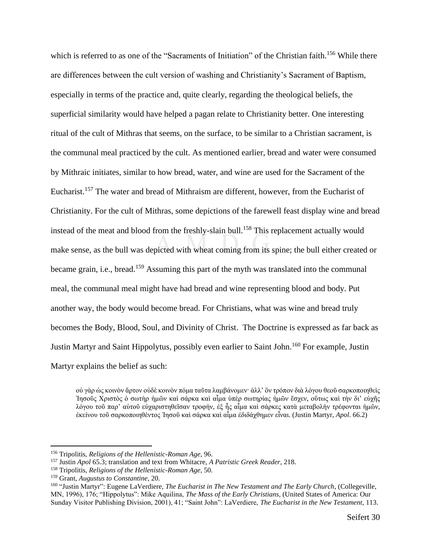which is referred to as one of the "Sacraments of Initiation" of the Christian faith.<sup>156</sup> While there are differences between the cult version of washing and Christianity's Sacrament of Baptism, especially in terms of the practice and, quite clearly, regarding the theological beliefs, the superficial similarity would have helped a pagan relate to Christianity better. One interesting ritual of the cult of Mithras that seems, on the surface, to be similar to a Christian sacrament, is the communal meal practiced by the cult. As mentioned earlier, bread and water were consumed by Mithraic initiates, similar to how bread, water, and wine are used for the Sacrament of the Eucharist.<sup>157</sup> The water and bread of Mithraism are different, however, from the Eucharist of Christianity. For the cult of Mithras, some depictions of the farewell feast display wine and bread instead of the meat and blood from the freshly-slain bull.<sup>158</sup> This replacement actually would make sense, as the bull was depicted with wheat coming from its spine; the bull either created or became grain, i.e., bread.<sup>159</sup> Assuming this part of the myth was translated into the communal meal, the communal meal might have had bread and wine representing blood and body. Put another way, the body would become bread. For Christians, what was wine and bread truly becomes the Body, Blood, Soul, and Divinity of Christ. The Doctrine is expressed as far back as Justin Martyr and Saint Hippolytus, possibly even earlier to Saint John.<sup>160</sup> For example, Justin Martyr explains the belief as such:

οὐ γὰρ ὡς κοινὸν ἄρτον οὐδὲ κοινὸν πόμα ταῦτα λαμβάνομεν· ἀλλ' ὃν τρόπον διὰ λόγου θεοῦ σαρκοποιηθεὶς Ἰησοῦς Χριστὸς ὁ σωτὴρ ἡμῶν καὶ σάρκα καὶ αἷμα ὑπὲρ σωτηρίας ἡμῶν ἔσχεν, οὕτως καὶ τὴν δι' εὐχῆς λόγου τοῦ παρ' αὐτοῦ εὐχαριστηθεῖσαν τροφήν, ἐξ ἧς αἷμα καὶ σάρκες κατὰ μεταβολὴν τρέφονται ἡμῶν, ἐκείνου τοῦ σαρκοποιηθέντος Ἰησοῦ καὶ σάρκα καὶ αἷμα ἐδιδάχθημεν εἶναι. (Justin Martyr, *Apol*. 66.2)

<sup>156</sup> Tripolitis, *Religions of the Hellenistic-Roman Age*, 96.

<sup>157</sup> Justin *Apol* 65.3; translation and text from Whitacre, *A Patristic Greek Reader*, 218.

<sup>158</sup> Tripolitis, *Religions of the Hellenistic-Roman Age*, 50.

<sup>159</sup> Grant, *Augustus to Constantine*, 20.

<sup>160</sup> "Justin Martyr": Eugene LaVerdiere, *The Eucharist in The New Testament and The Early Church*, (Collegeville, MN, 1996), 176; "Hippolytus": Mike Aquilina, *The Mass of the Early Christians*, (United States of America: Our Sunday Visitor Publishing Division, 2001), 41; "Saint John": LaVerdiere, *The Eucharist in the New Testament*, 113.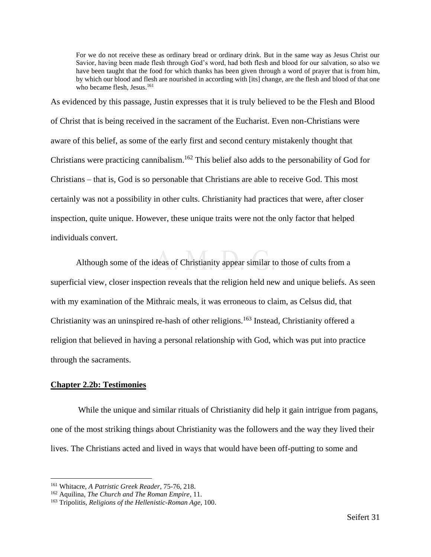For we do not receive these as ordinary bread or ordinary drink. But in the same way as Jesus Christ our Savior, having been made flesh through God's word, had both flesh and blood for our salvation, so also we have been taught that the food for which thanks has been given through a word of prayer that is from him, by which our blood and flesh are nourished in according with [its] change, are the flesh and blood of that one who became flesh, Jesus. 161

As evidenced by this passage, Justin expresses that it is truly believed to be the Flesh and Blood of Christ that is being received in the sacrament of the Eucharist. Even non-Christians were aware of this belief, as some of the early first and second century mistakenly thought that Christians were practicing cannibalism.<sup>162</sup> This belief also adds to the personability of God for Christians – that is, God is so personable that Christians are able to receive God. This most certainly was not a possibility in other cults. Christianity had practices that were, after closer inspection, quite unique. However, these unique traits were not the only factor that helped individuals convert.

Although some of the ideas of Christianity appear similar to those of cults from a superficial view, closer inspection reveals that the religion held new and unique beliefs. As seen with my examination of the Mithraic meals, it was erroneous to claim, as Celsus did, that Christianity was an uninspired re-hash of other religions.<sup>163</sup> Instead, Christianity offered a religion that believed in having a personal relationship with God, which was put into practice through the sacraments.

#### <span id="page-33-0"></span>**Chapter 2.2b: Testimonies**

While the unique and similar rituals of Christianity did help it gain intrigue from pagans, one of the most striking things about Christianity was the followers and the way they lived their lives. The Christians acted and lived in ways that would have been off-putting to some and

<sup>161</sup> Whitacre, *A Patristic Greek Reader*, 75-76, 218.

<sup>162</sup> Aquilina, *The Church and The Roman Empire*, 11.

<sup>163</sup> Tripolitis, *Religions of the Hellenistic-Roman Age*, 100.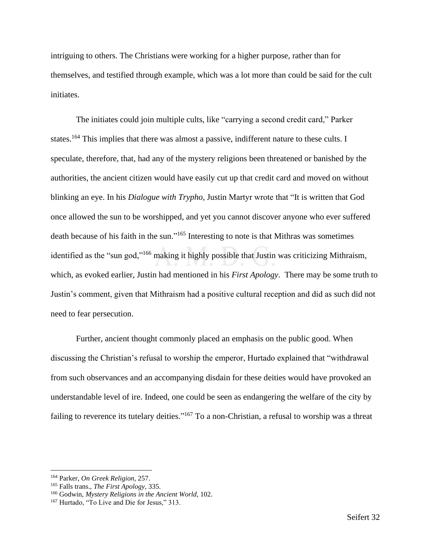intriguing to others. The Christians were working for a higher purpose, rather than for themselves, and testified through example, which was a lot more than could be said for the cult initiates.

The initiates could join multiple cults, like "carrying a second credit card," Parker states.<sup>164</sup> This implies that there was almost a passive, indifferent nature to these cults. I speculate, therefore, that, had any of the mystery religions been threatened or banished by the authorities, the ancient citizen would have easily cut up that credit card and moved on without blinking an eye. In his *Dialogue with Trypho*, Justin Martyr wrote that "It is written that God once allowed the sun to be worshipped, and yet you cannot discover anyone who ever suffered death because of his faith in the sun."<sup>165</sup> Interesting to note is that Mithras was sometimes identified as the "sun god,"<sup>166</sup> making it highly possible that Justin was criticizing Mithraism, which, as evoked earlier, Justin had mentioned in his *First Apology*. There may be some truth to Justin's comment, given that Mithraism had a positive cultural reception and did as such did not need to fear persecution.

Further, ancient thought commonly placed an emphasis on the public good. When discussing the Christian's refusal to worship the emperor, Hurtado explained that "withdrawal from such observances and an accompanying disdain for these deities would have provoked an understandable level of ire. Indeed, one could be seen as endangering the welfare of the city by failing to reverence its tutelary deities."<sup>167</sup> To a non-Christian, a refusal to worship was a threat

<sup>164</sup> Parker, *On Greek Religion*, 257.

<sup>165</sup> Falls trans., *The First Apology*, 335.

<sup>166</sup> Godwin, *Mystery Religions in the Ancient World*, 102.

<sup>167</sup> Hurtado, "To Live and Die for Jesus," 313.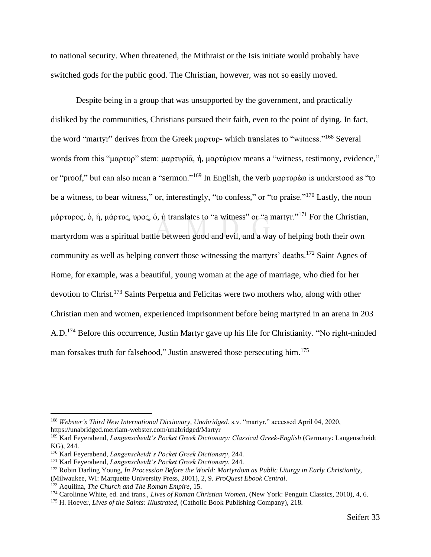to national security. When threatened, the Mithraist or the Isis initiate would probably have switched gods for the public good. The Christian, however, was not so easily moved.

Despite being in a group that was unsupported by the government, and practically disliked by the communities, Christians pursued their faith, even to the point of dying. In fact, the word "martyr" derives from the Greek μαρτυρ- which translates to "witness."<sup>168</sup> Several words from this "μαρτυρ" stem: μαρτυρία, ή, μαρτύριον means a "witness, testimony, evidence," or "proof," but can also mean a "sermon."<sup>169</sup> In English, the verb μαρτυρέω is understood as "to be a witness, to bear witness," or, interestingly, "to confess," or "to praise."<sup>170</sup> Lastly, the noun μάρτυρος, ὁ, ἡ, μάρτυς, υρος, ὁ, ἡ translates to "a witness" or "a martyr."<sup>171</sup> For the Christian, martyrdom was a spiritual battle between good and evil, and a way of helping both their own community as well as helping convert those witnessing the martyrs' deaths.<sup>172</sup> Saint Agnes of Rome, for example, was a beautiful, young woman at the age of marriage, who died for her devotion to Christ.<sup>173</sup> Saints Perpetua and Felicitas were two mothers who, along with other Christian men and women, experienced imprisonment before being martyred in an arena in 203 A.D.<sup>174</sup> Before this occurrence, Justin Martyr gave up his life for Christianity. "No right-minded man forsakes truth for falsehood," Justin answered those persecuting him.<sup>175</sup>

<sup>168</sup> *Webster's Third New International Dictionary, Unabridged*, s.v. "martyr," accessed April 04, 2020, https://unabridged.merriam-webster.com/unabridged/Martyr

<sup>169</sup> Karl Feyerabend, *Langenscheidt's Pocket Greek Dictionary: Classical Greek-English* (Germany: Langenscheidt KG), 244.

<sup>170</sup> Karl Feyerabend, *Langenscheidt's Pocket Greek Dictionary*, 244.

<sup>171</sup> Karl Feyerabend, *Langenscheidt's Pocket Greek Dictionary*, 244.

<sup>172</sup> Robin Darling Young, *In Procession Before the World: Martyrdom as Public Liturgy in Early Christianity*,

<sup>(</sup>Milwaukee, WI: Marquette University Press, 2001), 2, 9. *ProQuest Ebook Central*.

<sup>173</sup> Aquilina, *The Church and The Roman Empire*, 15.

<sup>&</sup>lt;sup>174</sup> Carolinne White, ed. and trans., *Lives of Roman Christian Women*, (New York: Penguin Classics, 2010), 4, 6.

<sup>175</sup> H. Hoever, *Lives of the Saints: Illustrated*, (Catholic Book Publishing Company), 218.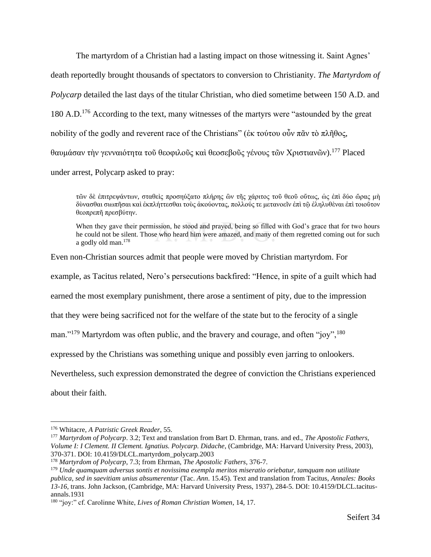The martyrdom of a Christian had a lasting impact on those witnessing it. Saint Agnes' death reportedly brought thousands of spectators to conversion to Christianity. *The Martyrdom of Polycarp* detailed the last days of the titular Christian, who died sometime between 150 A.D. and 180 A.D.<sup>176</sup> According to the text, many witnesses of the martyrs were "astounded by the great" nobility of the godly and reverent race of the Christians" (ἐκ τούτου οὖν πᾶν τὸ πλῆθος, θαυμάσαν τὴν γενναιότητα τοῦ θεοφιλοῦς καὶ θεοσεβοῦς γένους τῶν Χριστιανῶν).<sup>177</sup> Placed under arrest, Polycarp asked to pray:

τῶν δὲ ἐπιτρεψάντων, σταθεὶς προσηύξατο πλήρης ὢν τῆς χάριτος τοῦ θεοῦ οὔτως, ὡς ἐπὶ δύο ὤρας μὴ δὺνασθαι σιωπῆσαι καὶ ἐκπλήττεσθαι τοὺς ἀκούοντας, πολλούς τε μετανοεῖν ἐπὶ τῷ ἐληλυθὲναι ἐπὶ τοιοῦτον θεοπρεπῆ πρεσβύτην.

When they gave their permission, he stood and prayed, being so filled with God's grace that for two hours he could not be silent. Those who heard him were amazed, and many of them regretted coming out for such a godly old man. 178

Even non-Christian sources admit that people were moved by Christian martyrdom. For

example, as Tacitus related, Nero's persecutions backfired: "Hence, in spite of a guilt which had

earned the most exemplary punishment, there arose a sentiment of pity, due to the impression

that they were being sacrificed not for the welfare of the state but to the ferocity of a single

man."<sup>179</sup> Martyrdom was often public, and the bravery and courage, and often "joy", <sup>180</sup>

expressed by the Christians was something unique and possibly even jarring to onlookers.

Nevertheless, such expression demonstrated the degree of conviction the Christians experienced

about their faith.

<sup>176</sup> Whitacre, *A Patristic Greek Reader*, 55.

<sup>177</sup> *Martyrdom of Polycarp*. 3.2; Text and translation from Bart D. Ehrman, trans. and ed., *The Apostolic Fathers, Volume I: I Clement. II Clement. Ignatius. Polycarp. Didache*, (Cambridge, MA: Harvard University Press, 2003), 370-371. DOI: 10.4159/DLCL.martyrdom\_polycarp.2003

<sup>178</sup> *Martyrdom of Polycarp*, 7.3; from Ehrman, *The Apostolic Fathers*, 376-7.

<sup>179</sup> *Unde quamquam adversus sontis et novissima exempla meritos miseratio oriebatur, tamquam non utilitate publica, sed in saevitiam unius absumerentur* (Tac. *Ann*. 15.45). Text and translation from Tacitus, *Annales: Books 13-16*, trans. John Jackson, (Cambridge, MA: Harvard University Press, 1937), 284-5. DOI: 10.4159/DLCL.tacitusannals.1931

<sup>180</sup> "joy:" cf. Carolinne White, *Lives of Roman Christian Women*, 14, 17.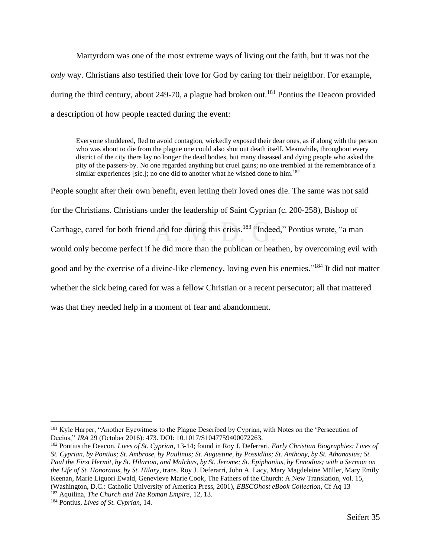Martyrdom was one of the most extreme ways of living out the faith, but it was not the *only* way. Christians also testified their love for God by caring for their neighbor. For example, during the third century, about 249-70, a plague had broken out.<sup>181</sup> Pontius the Deacon provided a description of how people reacted during the event:

Everyone shuddered, fled to avoid contagion, wickedly exposed their dear ones, as if along with the person who was about to die from the plague one could also shut out death itself. Meanwhile, throughout every district of the city there lay no longer the dead bodies, but many diseased and dying people who asked the pity of the passers-by. No one regarded anything but cruel gains; no one trembled at the remembrance of a similar experiences [sic.]; no one did to another what he wished done to him.<sup>182</sup>

People sought after their own benefit, even letting their loved ones die. The same was not said for the Christians. Christians under the leadership of Saint Cyprian (c. 200-258), Bishop of Carthage, cared for both friend and foe during this crisis.<sup>183</sup> "Indeed," Pontius wrote, "a man would only become perfect if he did more than the publican or heathen, by overcoming evil with good and by the exercise of a divine-like clemency, loving even his enemies."<sup>184</sup> It did not matter whether the sick being cared for was a fellow Christian or a recent persecutor; all that mattered was that they needed help in a moment of fear and abandonment.

<sup>&</sup>lt;sup>181</sup> Kyle Harper, "Another Eyewitness to the Plague Described by Cyprian, with Notes on the 'Persecution of Decius," *JRA* 29 (October 2016): 473. DOI: 10.1017/S1047759400072263.

<sup>182</sup> Pontius the Deacon, *Lives of St. Cyprian*, 13-14; found in Roy J. Deferrari, *Early Christian Biographies: Lives of St. Cyprian, by Pontius; St. Ambrose, by Paulinus; St. Augustine, by Possidius; St. Anthony, by St. Athanasius; St. Paul the First Hermit, by St. Hilarion, and Malchus, by St. Jerome; St. Epiphanius, by Ennodius; with a Sermon on the Life of St. Honoratus, by St. Hilary*, trans. Roy J. Deferarri, John A. Lacy, Mary Magdeleine Müller, Mary Emily Keenan, Marie Liguori Ewald, Genevieve Marie Cook, The Fathers of the Church: A New Translation, vol. 15, (Washington, D.C.: Catholic University of America Press, 2001), *EBSCOhost eBook Collection*, Cf Aq 13

<sup>183</sup> Aquilina, *The Church and The Roman Empire*, 12, 13.

<sup>184</sup> Pontius, *Lives of St. Cyprian*, 14.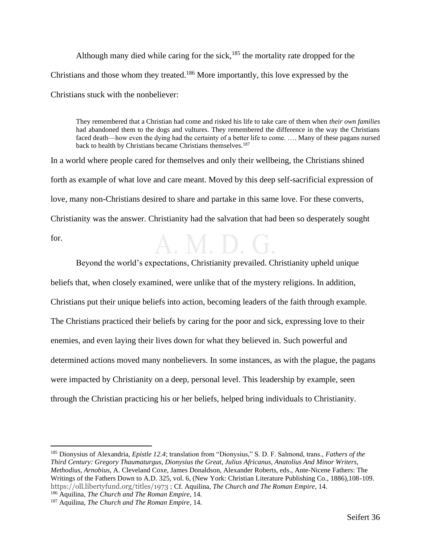Although many died while caring for the sick,<sup>185</sup> the mortality rate dropped for the Christians and those whom they treated.<sup>186</sup> More importantly, this love expressed by the Christians stuck with the nonbeliever:

They remembered that a Christian had come and risked his life to take care of them when *their own families* had abandoned them to the dogs and vultures. They remembered the difference in the way the Christians faced death—how even the dying had the certainty of a better life to come. …. Many of these pagans nursed back to health by Christians became Christians themselves.<sup>187</sup>

In a world where people cared for themselves and only their wellbeing, the Christians shined forth as example of what love and care meant. Moved by this deep self-sacrificial expression of love, many non-Christians desired to share and partake in this same love. For these converts, Christianity was the answer. Christianity had the salvation that had been so desperately sought for. A.M.D.G.

Beyond the world's expectations, Christianity prevailed. Christianity upheld unique beliefs that, when closely examined, were unlike that of the mystery religions. In addition, Christians put their unique beliefs into action, becoming leaders of the faith through example. The Christians practiced their beliefs by caring for the poor and sick, expressing love to their enemies, and even laying their lives down for what they believed in. Such powerful and determined actions moved many nonbelievers. In some instances, as with the plague, the pagans were impacted by Christianity on a deep, personal level. This leadership by example, seen through the Christian practicing his or her beliefs, helped bring individuals to Christianity.

<span id="page-38-0"></span><sup>185</sup> Dionysius of Alexandria, *Epistle 12.4*; translation from "Dionysius," S. D. F. Salmond, trans., *Fathers of the Third Century: Gregory Thaumaturgus, Dionysius the Great, Julius Africanus, Anatolius And Minor Writers, Methodius, Arnobius*, A. Cleveland Coxe, James Donaldson, Alexander Roberts, eds., Ante-Nicene Fathers: The Writings of the Fathers Down to A.D. 325, vol. 6, (New York: Christian Literature Publishing Co., 1886),108-109. https://oll.libertyfund.org/titles/1973 ; Cf. Aquilina, *The Church and The Roman Empire*, 14. <sup>186</sup> Aquilina, *The Church and The Roman Empire*, 14.

<sup>187</sup> Aquilina, *The Church and The Roman Empire*, 14.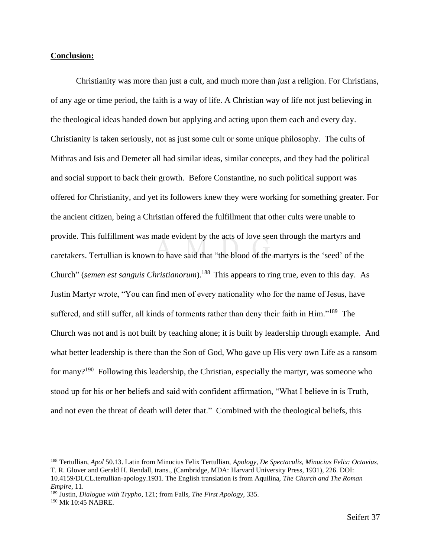#### **Conclusion:**

Christianity was more than just a cult, and much more than *just* a religion. For Christians, of any age or time period, the faith is a way of life. A Christian way of life not just believing in the theological ideas handed down but applying and acting upon them each and every day. Christianity is taken seriously, not as just some cult or some unique philosophy. The cults of Mithras and Isis and Demeter all had similar ideas, similar concepts, and they had the political and social support to back their growth. Before Constantine, no such political support was offered for Christianity, and yet its followers knew they were working for something greater. For the ancient citizen, being a Christian offered the fulfillment that other cults were unable to provide. This fulfillment was made evident by the acts of love seen through the martyrs and caretakers. Tertullian is known to have said that "the blood of the martyrs is the 'seed' of the Church" (*semen est sanguis Christianorum*).<sup>188</sup> This appears to ring true, even to this day. As Justin Martyr wrote, "You can find men of every nationality who for the name of Jesus, have suffered, and still suffer, all kinds of torments rather than deny their faith in Him."<sup>189</sup> The Church was not and is not built by teaching alone; it is built by leadership through example. And what better leadership is there than the Son of God, Who gave up His very own Life as a ransom for many?<sup>190</sup> Following this leadership, the Christian, especially the martyr, was someone who stood up for his or her beliefs and said with confident affirmation, "What I believe in is Truth, and not even the threat of death will deter that." Combined with the theological beliefs, this

<sup>188</sup> Tertullian, *Apol* 50.13. Latin from Minucius Felix Tertullian, *Apology, De Spectaculis, Minucius Felix: Octavius*, T. R. Glover and Gerald H. Rendall, trans., (Cambridge, MDA: Harvard University Press, 1931), 226. DOI: 10.4159/DLCL.tertullian-apology.1931. The English translation is from Aquilina, *The Church and The Roman Empire*, 11.

<sup>189</sup> Justin, *Dialogue with Trypho*, 121; from Falls, *The First Apology*, 335.

<sup>190</sup> Mk 10:45 NABRE.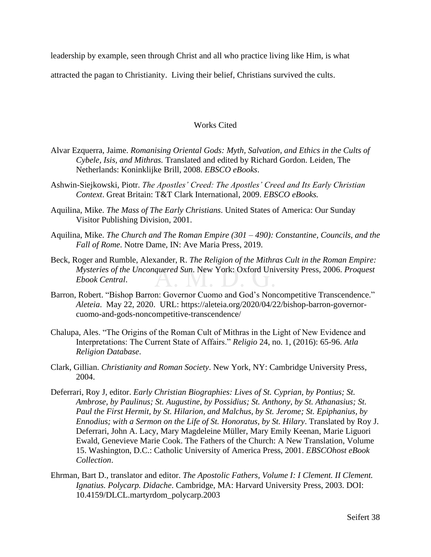leadership by example, seen through Christ and all who practice living like Him, is what

attracted the pagan to Christianity. Living their belief, Christians survived the cults.

#### Works Cited

- <span id="page-40-0"></span>Alvar Ezquerra, Jaime. *Romanising Oriental Gods: Myth, Salvation, and Ethics in the Cults of Cybele, Isis, and Mithras.* Translated and edited by Richard Gordon. Leiden, The Netherlands: Koninklijke Brill, 2008. *EBSCO eBooks*.
- Ashwin-Siejkowski, Piotr. *The Apostles' Creed: The Apostles' Creed and Its Early Christian Context*. Great Britain: T&T Clark International, 2009. *EBSCO eBooks.*
- Aquilina, Mike. *The Mass of The Early Christians*. United States of America: Our Sunday Visitor Publishing Division, 2001.
- Aquilina, Mike. *The Church and The Roman Empire (301 – 490): Constantine, Councils, and the Fall of Rome*. Notre Dame, IN: Ave Maria Press, 2019.
- Beck, Roger and Rumble, Alexander, R. *The Religion of the Mithras Cult in the Roman Empire: Mysteries of the Unconquered Sun*. New York: Oxford University Press, 2006. *Proquest Ebook Central*.
- Barron, Robert. "Bishop Barron: Governor Cuomo and God's Noncompetitive Transcendence." *Aleteia*. May 22, 2020. URL: https://aleteia.org/2020/04/22/bishop-barron-governorcuomo-and-gods-noncompetitive-transcendence/
- Chalupa, Ales. "The Origins of the Roman Cult of Mithras in the Light of New Evidence and Interpretations: The Current State of Affairs." *Religio* 24, no. 1, (2016): 65-96. *Atla Religion Database*.
- Clark, Gillian. *Christianity and Roman Society*. New York, NY: Cambridge University Press, 2004.
- Deferrari, Roy J, editor. *Early Christian Biographies: Lives of St. Cyprian, by Pontius; St. Ambrose, by Paulinus; St. Augustine, by Possidius; St. Anthony, by St. Athanasius; St. Paul the First Hermit, by St. Hilarion, and Malchus, by St. Jerome; St. Epiphanius, by Ennodius; with a Sermon on the Life of St. Honoratus, by St. Hilary*. Translated by Roy J. Deferrari, John A. Lacy, Mary Magdeleine Müller, Mary Emily Keenan, Marie Liguori Ewald, Genevieve Marie Cook. The Fathers of the Church: A New Translation, Volume 15. Washington, D.C.: Catholic University of America Press, 2001. *EBSCOhost eBook Collection*.
- Ehrman, Bart D., translator and editor. *The Apostolic Fathers, Volume I: I Clement. II Clement. Ignatius. Polycarp. Didache*. Cambridge, MA: Harvard University Press, 2003. DOI: 10.4159/DLCL.martyrdom\_polycarp.2003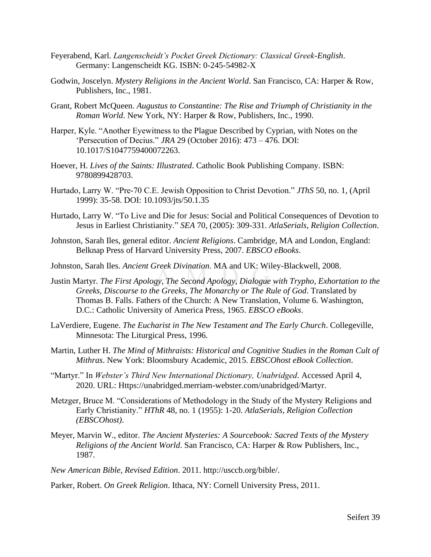- Feyerabend, Karl. *Langenscheidt's Pocket Greek Dictionary: Classical Greek-English*. Germany: Langenscheidt KG. ISBN: 0-245-54982-X
- Godwin, Joscelyn. *Mystery Religions in the Ancient World*. San Francisco, CA: Harper & Row, Publishers, Inc., 1981.
- Grant, Robert McQueen. *Augustus to Constantine: The Rise and Triumph of Christianity in the Roman World*. New York, NY: Harper & Row, Publishers, Inc., 1990.
- Harper, Kyle. "Another Eyewitness to the Plague Described by Cyprian, with Notes on the 'Persecution of Decius." *JRA* 29 (October 2016): 473 – 476. DOI: 10.1017/S1047759400072263.
- Hoever, H. *Lives of the Saints: Illustrated*. Catholic Book Publishing Company. ISBN: 9780899428703.
- Hurtado, Larry W. "Pre-70 C.E. Jewish Opposition to Christ Devotion." *JThS* 50, no. 1, (April 1999): 35-58. DOI: 10.1093/jts/50.1.35
- Hurtado, Larry W. "To Live and Die for Jesus: Social and Political Consequences of Devotion to Jesus in Earliest Christianity." *SEA* 70, (2005): 309-331. *AtlaSerials, Religion Collection*.
- Johnston, Sarah Iles, general editor. *Ancient Religions*. Cambridge, MA and London, England: Belknap Press of Harvard University Press, 2007. *EBSCO eBooks*.
- Johnston, Sarah Iles. *Ancient Greek Divination*. MA and UK: Wiley-Blackwell, 2008.
- Justin Martyr. *The First Apology, The Second Apology, Dialogue with Trypho, Exhortation to the Greeks, Discourse to the Greeks, The Monarchy or The Rule of God*. Translated by Thomas B. Falls. Fathers of the Church: A New Translation, Volume 6. Washington, D.C.: Catholic University of America Press, 1965. *EBSCO eBooks*.
- LaVerdiere, Eugene. *The Eucharist in The New Testament and The Early Church*. Collegeville, Minnesota: The Liturgical Press, 1996.
- Martin, Luther H. *The Mind of Mithraists: Historical and Cognitive Studies in the Roman Cult of Mithras*. New York: Bloomsbury Academic, 2015. *EBSCOhost eBook Collection*.
- "Martyr." In *Webster's Third New International Dictionary, Unabridged*. Accessed April 4, 2020. URL: Https://unabridged.merriam-webster.com/unabridged/Martyr.
- Metzger, Bruce M. "Considerations of Methodology in the Study of the Mystery Religions and Early Christianity." *HThR* 48, no. 1 (1955): 1-20. *AtlaSerials, Religion Collection (EBSCOhost)*.
- Meyer, Marvin W., editor. *The Ancient Mysteries: A Sourcebook: Sacred Texts of the Mystery Religions of the Ancient World*. San Francisco, CA: Harper & Row Publishers, Inc., 1987.

*New American Bible, Revised Edition*. 2011. http://usccb.org/bible/.

Parker, Robert. *On Greek Religion*. Ithaca, NY: Cornell University Press, 2011.